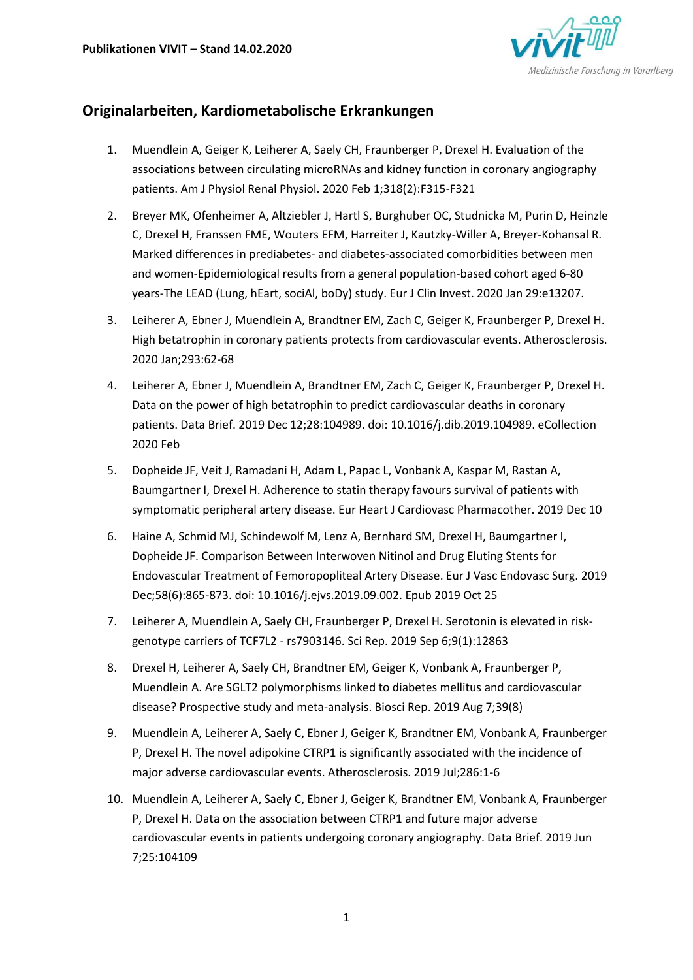

# **Originalarbeiten, Kardiometabolische Erkrankungen**

- 1. Muendlein A, Geiger K, Leiherer A, Saely CH, Fraunberger P, Drexel H. Evaluation of the associations between circulating microRNAs and kidney function in coronary angiography patients. Am J Physiol Renal Physiol. 2020 Feb 1;318(2):F315-F321
- 2. Breyer MK, Ofenheimer A, Altziebler J, Hartl S, Burghuber OC, Studnicka M, Purin D, Heinzle C, Drexel H, Franssen FME, Wouters EFM, Harreiter J, Kautzky-Willer A, Breyer-Kohansal R. Marked differences in prediabetes- and diabetes-associated comorbidities between men and women-Epidemiological results from a general population-based cohort aged 6-80 years-The LEAD (Lung, hEart, sociAl, boDy) study. Eur J Clin Invest. 2020 Jan 29:e13207.
- 3. Leiherer A, Ebner J, Muendlein A, Brandtner EM, Zach C, Geiger K, Fraunberger P, Drexel H. High betatrophin in coronary patients protects from cardiovascular events. Atherosclerosis. 2020 Jan;293:62-68
- 4. Leiherer A, Ebner J, Muendlein A, Brandtner EM, Zach C, Geiger K, Fraunberger P, Drexel H. Data on the power of high betatrophin to predict cardiovascular deaths in coronary patients. Data Brief. 2019 Dec 12;28:104989. doi: 10.1016/j.dib.2019.104989. eCollection 2020 Feb
- 5. Dopheide JF, Veit J, Ramadani H, Adam L, Papac L, Vonbank A, Kaspar M, Rastan A, Baumgartner I, Drexel H. Adherence to statin therapy favours survival of patients with symptomatic peripheral artery disease. Eur Heart J Cardiovasc Pharmacother. 2019 Dec 10
- 6. Haine A, Schmid MJ, Schindewolf M, Lenz A, Bernhard SM, Drexel H, Baumgartner I, Dopheide JF. Comparison Between Interwoven Nitinol and Drug Eluting Stents for Endovascular Treatment of Femoropopliteal Artery Disease. Eur J Vasc Endovasc Surg. 2019 Dec;58(6):865-873. doi: 10.1016/j.ejvs.2019.09.002. Epub 2019 Oct 25
- 7. Leiherer A, Muendlein A, Saely CH, Fraunberger P, Drexel H. Serotonin is elevated in riskgenotype carriers of TCF7L2 - rs7903146. Sci Rep. 2019 Sep 6;9(1):12863
- 8. Drexel H, Leiherer A, Saely CH, Brandtner EM, Geiger K, Vonbank A, Fraunberger P, Muendlein A. Are SGLT2 polymorphisms linked to diabetes mellitus and cardiovascular disease? Prospective study and meta-analysis. Biosci Rep. 2019 Aug 7;39(8)
- 9. Muendlein A, Leiherer A, Saely C, Ebner J, Geiger K, Brandtner EM, Vonbank A, Fraunberger P, Drexel H. The novel adipokine CTRP1 is significantly associated with the incidence of major adverse cardiovascular events. Atherosclerosis. 2019 Jul;286:1-6
- 10. Muendlein A, Leiherer A, Saely C, Ebner J, Geiger K, Brandtner EM, Vonbank A, Fraunberger P, Drexel H. Data on the association between CTRP1 and future major adverse cardiovascular events in patients undergoing coronary angiography. Data Brief. 2019 Jun 7;25:104109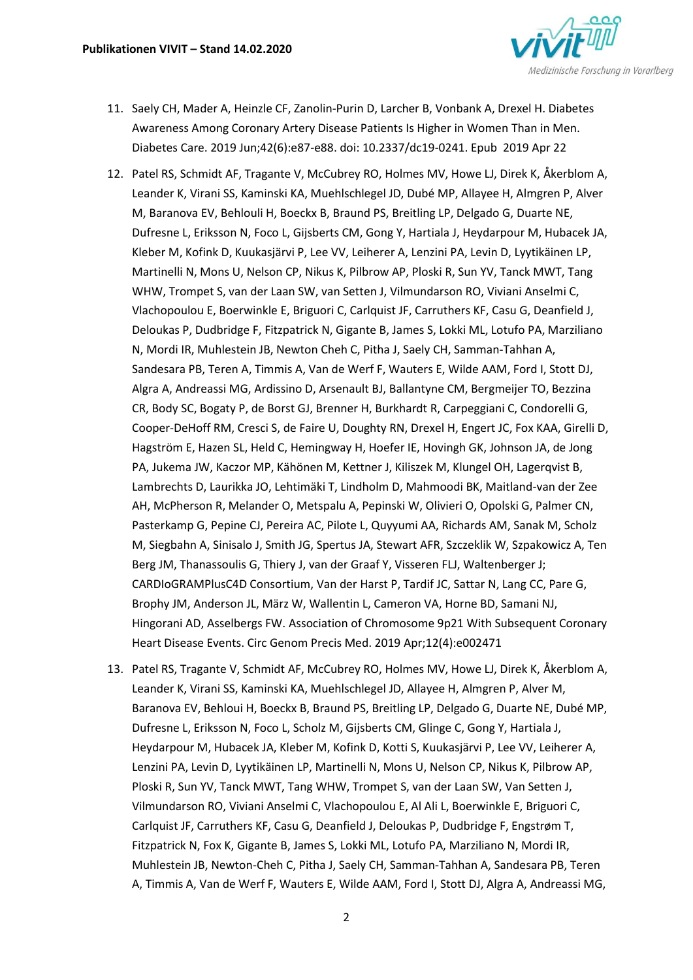

- 11. Saely CH, Mader A, Heinzle CF, Zanolin-Purin D, Larcher B, Vonbank A, Drexel H. Diabetes Awareness Among Coronary Artery Disease Patients Is Higher in Women Than in Men. Diabetes Care. 2019 Jun;42(6):e87-e88. doi: 10.2337/dc19-0241. Epub 2019 Apr 22
- 12. Patel RS, Schmidt AF, Tragante V, McCubrey RO, Holmes MV, Howe LJ, Direk K, Åkerblom A, Leander K, Virani SS, Kaminski KA, Muehlschlegel JD, Dubé MP, Allayee H, Almgren P, Alver M, Baranova EV, Behlouli H, Boeckx B, Braund PS, Breitling LP, Delgado G, Duarte NE, Dufresne L, Eriksson N, Foco L, Gijsberts CM, Gong Y, Hartiala J, Heydarpour M, Hubacek JA, Kleber M, Kofink D, Kuukasjärvi P, Lee VV, Leiherer A, Lenzini PA, Levin D, Lyytikäinen LP, Martinelli N, Mons U, Nelson CP, Nikus K, Pilbrow AP, Ploski R, Sun YV, Tanck MWT, Tang WHW, Trompet S, van der Laan SW, van Setten J, Vilmundarson RO, Viviani Anselmi C, Vlachopoulou E, Boerwinkle E, Briguori C, Carlquist JF, Carruthers KF, Casu G, Deanfield J, Deloukas P, Dudbridge F, Fitzpatrick N, Gigante B, James S, Lokki ML, Lotufo PA, Marziliano N, Mordi IR, Muhlestein JB, Newton Cheh C, Pitha J, Saely CH, Samman-Tahhan A, Sandesara PB, Teren A, Timmis A, Van de Werf F, Wauters E, Wilde AAM, Ford I, Stott DJ, Algra A, Andreassi MG, Ardissino D, Arsenault BJ, Ballantyne CM, Bergmeijer TO, Bezzina CR, Body SC, Bogaty P, de Borst GJ, Brenner H, Burkhardt R, Carpeggiani C, Condorelli G, Cooper-DeHoff RM, Cresci S, de Faire U, Doughty RN, Drexel H, Engert JC, Fox KAA, Girelli D, Hagström E, Hazen SL, Held C, Hemingway H, Hoefer IE, Hovingh GK, Johnson JA, de Jong PA, Jukema JW, Kaczor MP, Kähönen M, Kettner J, Kiliszek M, Klungel OH, Lagerqvist B, Lambrechts D, Laurikka JO, Lehtimäki T, Lindholm D, Mahmoodi BK, Maitland-van der Zee AH, McPherson R, Melander O, Metspalu A, Pepinski W, Olivieri O, Opolski G, Palmer CN, Pasterkamp G, Pepine CJ, Pereira AC, Pilote L, Quyyumi AA, Richards AM, Sanak M, Scholz M, Siegbahn A, Sinisalo J, Smith JG, Spertus JA, Stewart AFR, Szczeklik W, Szpakowicz A, Ten Berg JM, Thanassoulis G, Thiery J, van der Graaf Y, Visseren FLJ, Waltenberger J; CARDIoGRAMPlusC4D Consortium, Van der Harst P, Tardif JC, Sattar N, Lang CC, Pare G, Brophy JM, Anderson JL, März W, Wallentin L, Cameron VA, Horne BD, Samani NJ, Hingorani AD, Asselbergs FW. Association of Chromosome 9p21 With Subsequent Coronary Heart Disease Events. Circ Genom Precis Med. 2019 Apr;12(4):e002471
- 13. Patel RS, Tragante V, Schmidt AF, McCubrey RO, Holmes MV, Howe LJ, Direk K, Åkerblom A, Leander K, Virani SS, Kaminski KA, Muehlschlegel JD, Allayee H, Almgren P, Alver M, Baranova EV, Behloui H, Boeckx B, Braund PS, Breitling LP, Delgado G, Duarte NE, Dubé MP, Dufresne L, Eriksson N, Foco L, Scholz M, Gijsberts CM, Glinge C, Gong Y, Hartiala J, Heydarpour M, Hubacek JA, Kleber M, Kofink D, Kotti S, Kuukasjärvi P, Lee VV, Leiherer A, Lenzini PA, Levin D, Lyytikäinen LP, Martinelli N, Mons U, Nelson CP, Nikus K, Pilbrow AP, Ploski R, Sun YV, Tanck MWT, Tang WHW, Trompet S, van der Laan SW, Van Setten J, Vilmundarson RO, Viviani Anselmi C, Vlachopoulou E, Al Ali L, Boerwinkle E, Briguori C, Carlquist JF, Carruthers KF, Casu G, Deanfield J, Deloukas P, Dudbridge F, Engstrøm T, Fitzpatrick N, Fox K, Gigante B, James S, Lokki ML, Lotufo PA, Marziliano N, Mordi IR, Muhlestein JB, Newton-Cheh C, Pitha J, Saely CH, Samman-Tahhan A, Sandesara PB, Teren A, Timmis A, Van de Werf F, Wauters E, Wilde AAM, Ford I, Stott DJ, Algra A, Andreassi MG,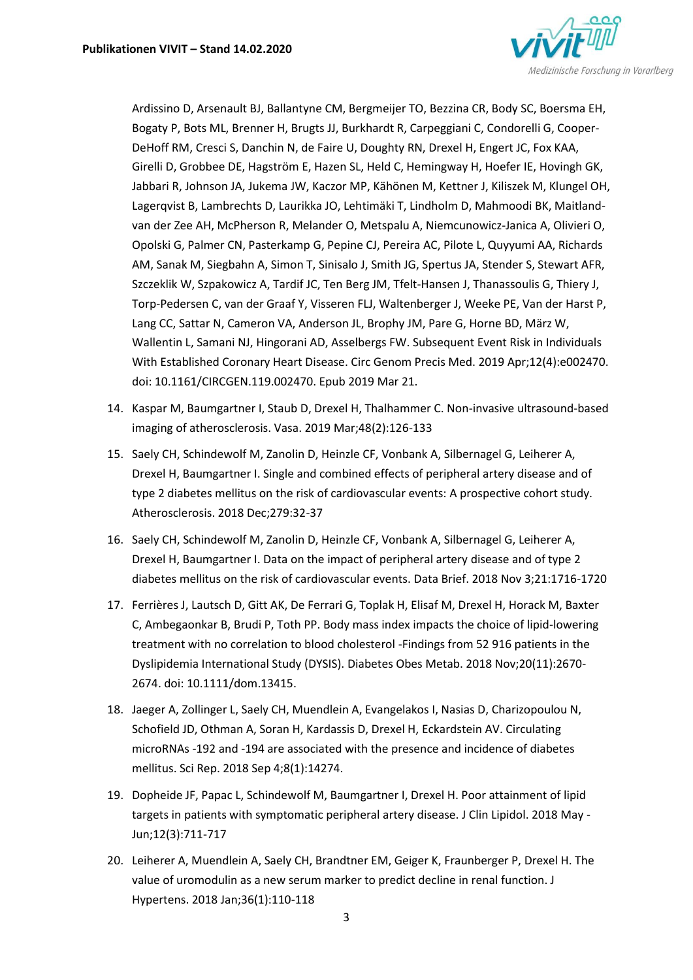

Ardissino D, Arsenault BJ, Ballantyne CM, Bergmeijer TO, Bezzina CR, Body SC, Boersma EH, Bogaty P, Bots ML, Brenner H, Brugts JJ, Burkhardt R, Carpeggiani C, Condorelli G, Cooper-DeHoff RM, Cresci S, Danchin N, de Faire U, Doughty RN, Drexel H, Engert JC, Fox KAA, Girelli D, Grobbee DE, Hagström E, Hazen SL, Held C, Hemingway H, Hoefer IE, Hovingh GK, Jabbari R, Johnson JA, Jukema JW, Kaczor MP, Kähönen M, Kettner J, Kiliszek M, Klungel OH, Lagerqvist B, Lambrechts D, Laurikka JO, Lehtimäki T, Lindholm D, Mahmoodi BK, Maitlandvan der Zee AH, McPherson R, Melander O, Metspalu A, Niemcunowicz-Janica A, Olivieri O, Opolski G, Palmer CN, Pasterkamp G, Pepine CJ, Pereira AC, Pilote L, Quyyumi AA, Richards AM, Sanak M, Siegbahn A, Simon T, Sinisalo J, Smith JG, Spertus JA, Stender S, Stewart AFR, Szczeklik W, Szpakowicz A, Tardif JC, Ten Berg JM, Tfelt-Hansen J, Thanassoulis G, Thiery J, Torp-Pedersen C, van der Graaf Y, Visseren FLJ, Waltenberger J, Weeke PE, Van der Harst P, Lang CC, Sattar N, Cameron VA, Anderson JL, Brophy JM, Pare G, Horne BD, März W, Wallentin L, Samani NJ, Hingorani AD, Asselbergs FW. Subsequent Event Risk in Individuals With Established Coronary Heart Disease. Circ Genom Precis Med. 2019 Apr;12(4):e002470. doi: 10.1161/CIRCGEN.119.002470. Epub 2019 Mar 21.

- 14. Kaspar M, Baumgartner I, Staub D, Drexel H, Thalhammer C. Non-invasive ultrasound-based imaging of atherosclerosis. Vasa. 2019 Mar;48(2):126-133
- 15. Saely CH, Schindewolf M, Zanolin D, Heinzle CF, Vonbank A, Silbernagel G, Leiherer A, Drexel H, Baumgartner I. Single and combined effects of peripheral artery disease and of type 2 diabetes mellitus on the risk of cardiovascular events: A prospective cohort study. Atherosclerosis. 2018 Dec;279:32-37
- 16. Saely CH, Schindewolf M, Zanolin D, Heinzle CF, Vonbank A, Silbernagel G, Leiherer A, Drexel H, Baumgartner I. Data on the impact of peripheral artery disease and of type 2 diabetes mellitus on the risk of cardiovascular events. Data Brief. 2018 Nov 3;21:1716-1720
- 17. Ferrières J, Lautsch D, Gitt AK, De Ferrari G, Toplak H, Elisaf M, Drexel H, Horack M, Baxter C, Ambegaonkar B, Brudi P, Toth PP. Body mass index impacts the choice of lipid-lowering treatment with no correlation to blood cholesterol -Findings from 52 916 patients in the Dyslipidemia International Study (DYSIS). Diabetes Obes Metab. 2018 Nov;20(11):2670- 2674. doi: 10.1111/dom.13415.
- 18. Jaeger A, Zollinger L, Saely CH, Muendlein A, Evangelakos I, Nasias D, Charizopoulou N, Schofield JD, Othman A, Soran H, Kardassis D, Drexel H, Eckardstein AV. Circulating microRNAs -192 and -194 are associated with the presence and incidence of diabetes mellitus. Sci Rep. 2018 Sep 4;8(1):14274.
- 19. Dopheide JF, Papac L, Schindewolf M, Baumgartner I, Drexel H. Poor attainment of lipid targets in patients with symptomatic peripheral artery disease. J Clin Lipidol. 2018 May - Jun;12(3):711-717
- 20. Leiherer A, Muendlein A, Saely CH, Brandtner EM, Geiger K, Fraunberger P, Drexel H. The value of uromodulin as a new serum marker to predict decline in renal function. J Hypertens. 2018 Jan;36(1):110-118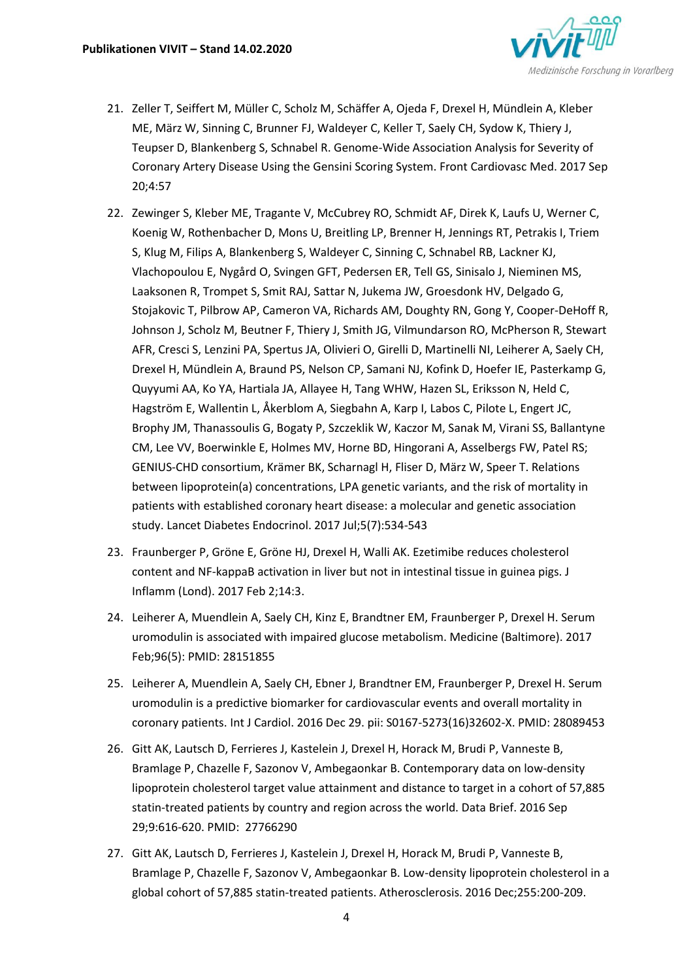

- 21. Zeller T, Seiffert M, Müller C, Scholz M, Schäffer A, Ojeda F, Drexel H, Mündlein A, Kleber ME, März W, Sinning C, Brunner FJ, Waldeyer C, Keller T, Saely CH, Sydow K, Thiery J, Teupser D, Blankenberg S, Schnabel R. Genome-Wide Association Analysis for Severity of Coronary Artery Disease Using the Gensini Scoring System. Front Cardiovasc Med. 2017 Sep 20;4:57
- 22. Zewinger S, Kleber ME, Tragante V, McCubrey RO, Schmidt AF, Direk K, Laufs U, Werner C, Koenig W, Rothenbacher D, Mons U, Breitling LP, Brenner H, Jennings RT, Petrakis I, Triem S, Klug M, Filips A, Blankenberg S, Waldeyer C, Sinning C, Schnabel RB, Lackner KJ, Vlachopoulou E, Nygård O, Svingen GFT, Pedersen ER, Tell GS, Sinisalo J, Nieminen MS, Laaksonen R, Trompet S, Smit RAJ, Sattar N, Jukema JW, Groesdonk HV, Delgado G, Stojakovic T, Pilbrow AP, Cameron VA, Richards AM, Doughty RN, Gong Y, Cooper-DeHoff R, Johnson J, Scholz M, Beutner F, Thiery J, Smith JG, Vilmundarson RO, McPherson R, Stewart AFR, Cresci S, Lenzini PA, Spertus JA, Olivieri O, Girelli D, Martinelli NI, Leiherer A, Saely CH, Drexel H, Mündlein A, Braund PS, Nelson CP, Samani NJ, Kofink D, Hoefer IE, Pasterkamp G, Quyyumi AA, Ko YA, Hartiala JA, Allayee H, Tang WHW, Hazen SL, Eriksson N, Held C, Hagström E, Wallentin L, Åkerblom A, Siegbahn A, Karp I, Labos C, Pilote L, Engert JC, Brophy JM, Thanassoulis G, Bogaty P, Szczeklik W, Kaczor M, Sanak M, Virani SS, Ballantyne CM, Lee VV, Boerwinkle E, Holmes MV, Horne BD, Hingorani A, Asselbergs FW, Patel RS; GENIUS-CHD consortium, Krämer BK, Scharnagl H, Fliser D, März W, Speer T. Relations between lipoprotein(a) concentrations, LPA genetic variants, and the risk of mortality in patients with established coronary heart disease: a molecular and genetic association study. Lancet Diabetes Endocrinol. 2017 Jul;5(7):534-543
- 23. Fraunberger P, Gröne E, Gröne HJ, Drexel H, Walli AK. Ezetimibe reduces cholesterol content and NF-kappaB activation in liver but not in intestinal tissue in guinea pigs. J Inflamm (Lond). 2017 Feb 2;14:3.
- 24. Leiherer A, Muendlein A, Saely CH, Kinz E, Brandtner EM, Fraunberger P, Drexel H. Serum uromodulin is associated with impaired glucose metabolism. Medicine (Baltimore). 2017 Feb;96(5): PMID: 28151855
- 25. Leiherer A, Muendlein A, Saely CH, Ebner J, Brandtner EM, Fraunberger P, Drexel H. Serum uromodulin is a predictive biomarker for cardiovascular events and overall mortality in coronary patients. Int J Cardiol. 2016 Dec 29. pii: S0167-5273(16)32602-X. PMID: 28089453
- 26. Gitt AK, Lautsch D, Ferrieres J, Kastelein J, Drexel H, Horack M, Brudi P, Vanneste B, Bramlage P, Chazelle F, Sazonov V, Ambegaonkar B. Contemporary data on low-density lipoprotein cholesterol target value attainment and distance to target in a cohort of 57,885 statin-treated patients by country and region across the world. Data Brief. 2016 Sep 29;9:616-620. PMID: 27766290
- 27. Gitt AK, Lautsch D, Ferrieres J, Kastelein J, Drexel H, Horack M, Brudi P, Vanneste B, Bramlage P, Chazelle F, Sazonov V, Ambegaonkar B. Low-density lipoprotein cholesterol in a global cohort of 57,885 statin-treated patients. Atherosclerosis. 2016 Dec;255:200-209.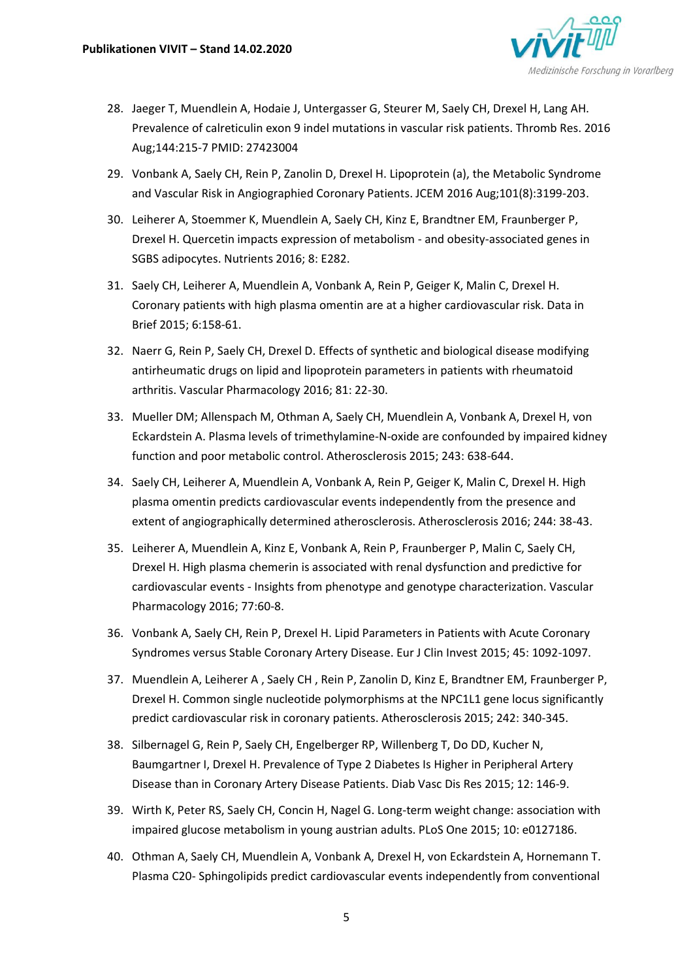

- 28. Jaeger T, Muendlein A, Hodaie J, Untergasser G, Steurer M, Saely CH, Drexel H, Lang AH. Prevalence of calreticulin exon 9 indel mutations in vascular risk patients. Thromb Res. 2016 Aug;144:215-7 PMID: 27423004
- 29. Vonbank A, Saely CH, Rein P, Zanolin D, Drexel H. Lipoprotein (a), the Metabolic Syndrome and Vascular Risk in Angiographied Coronary Patients. JCEM 2016 Aug;101(8):3199-203.
- 30. Leiherer A, Stoemmer K, Muendlein A, Saely CH, Kinz E, Brandtner EM, Fraunberger P, Drexel H. Quercetin impacts expression of metabolism - and obesity-associated genes in SGBS adipocytes. Nutrients 2016; 8: E282.
- 31. Saely CH, Leiherer A, Muendlein A, Vonbank A, Rein P, Geiger K, Malin C, Drexel H. Coronary patients with high plasma omentin are at a higher cardiovascular risk. Data in Brief 2015; 6:158-61.
- 32. Naerr G, Rein P, Saely CH, Drexel D. Effects of synthetic and biological disease modifying antirheumatic drugs on lipid and lipoprotein parameters in patients with rheumatoid arthritis. Vascular Pharmacology 2016; 81: 22-30.
- 33. Mueller DM; Allenspach M, Othman A, Saely CH, Muendlein A, Vonbank A, Drexel H, von Eckardstein A. Plasma levels of trimethylamine-N-oxide are confounded by impaired kidney function and poor metabolic control. Atherosclerosis 2015; 243: 638-644.
- 34. Saely CH, Leiherer A, Muendlein A, Vonbank A, Rein P, Geiger K, Malin C, Drexel H. High plasma omentin predicts cardiovascular events independently from the presence and extent of angiographically determined atherosclerosis. Atherosclerosis 2016; 244: 38-43.
- 35. Leiherer A, Muendlein A, Kinz E, Vonbank A, Rein P, Fraunberger P, Malin C, Saely CH, Drexel H. High plasma chemerin is associated with renal dysfunction and predictive for cardiovascular events - Insights from phenotype and genotype characterization. Vascular Pharmacology 2016; 77:60-8.
- 36. Vonbank A, Saely CH, Rein P, Drexel H. Lipid Parameters in Patients with Acute Coronary Syndromes versus Stable Coronary Artery Disease. Eur J Clin Invest 2015; 45: 1092-1097.
- 37. Muendlein A, Leiherer A , Saely CH , Rein P, Zanolin D, Kinz E, Brandtner EM, Fraunberger P, Drexel H. Common single nucleotide polymorphisms at the NPC1L1 gene locus significantly predict cardiovascular risk in coronary patients. Atherosclerosis 2015; 242: 340-345.
- 38. Silbernagel G, Rein P, Saely CH, Engelberger RP, Willenberg T, Do DD, Kucher N, Baumgartner I, Drexel H. Prevalence of Type 2 Diabetes Is Higher in Peripheral Artery Disease than in Coronary Artery Disease Patients. Diab Vasc Dis Res 2015; 12: 146-9.
- 39. Wirth K, Peter RS, Saely CH, Concin H, Nagel G. Long-term weight change: association with impaired glucose metabolism in young austrian adults. PLoS One 2015; 10: e0127186.
- 40. Othman A, Saely CH, Muendlein A, Vonbank A, Drexel H, von Eckardstein A, Hornemann T. Plasma C20- Sphingolipids predict cardiovascular events independently from conventional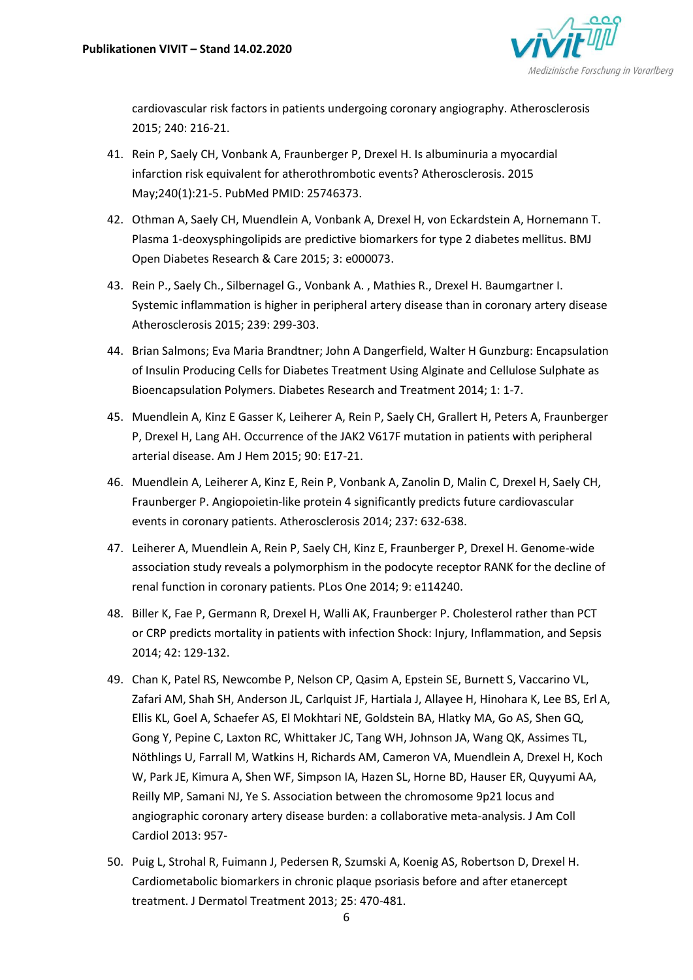

cardiovascular risk factors in patients undergoing coronary angiography. Atherosclerosis 2015; 240: 216-21.

- 41. Rein P, Saely CH, Vonbank A, Fraunberger P, Drexel H. Is albuminuria a myocardial infarction risk equivalent for atherothrombotic events? Atherosclerosis. 2015 May;240(1):21-5. PubMed PMID: 25746373.
- 42. Othman A, Saely CH, Muendlein A, Vonbank A, Drexel H, von Eckardstein A, Hornemann T. Plasma 1-deoxysphingolipids are predictive biomarkers for type 2 diabetes mellitus. BMJ Open Diabetes Research & Care 2015; 3: e000073.
- 43. Rein P., Saely Ch., Silbernagel G., Vonbank A. , Mathies R., Drexel H. Baumgartner I. Systemic inflammation is higher in peripheral artery disease than in coronary artery disease Atherosclerosis 2015; 239: 299-303.
- 44. Brian Salmons; Eva Maria Brandtner; John A Dangerfield, Walter H Gunzburg: Encapsulation of Insulin Producing Cells for Diabetes Treatment Using Alginate and Cellulose Sulphate as Bioencapsulation Polymers. Diabetes Research and Treatment 2014; 1: 1-7.
- 45. Muendlein A, Kinz E Gasser K, Leiherer A, Rein P, Saely CH, Grallert H, Peters A, Fraunberger P, Drexel H, Lang AH. Occurrence of the JAK2 V617F mutation in patients with peripheral arterial disease. Am J Hem 2015; 90: E17-21.
- 46. Muendlein A, Leiherer A, Kinz E, Rein P, Vonbank A, Zanolin D, Malin C, Drexel H, Saely CH, Fraunberger P. Angiopoietin-like protein 4 significantly predicts future cardiovascular events in coronary patients. Atherosclerosis 2014; 237: 632-638.
- 47. Leiherer A, Muendlein A, Rein P, Saely CH, Kinz E, Fraunberger P, Drexel H. Genome-wide association study reveals a polymorphism in the podocyte receptor RANK for the decline of renal function in coronary patients. PLos One 2014; 9: e114240.
- 48. Biller K, Fae P, Germann R, Drexel H, Walli AK, Fraunberger P. Cholesterol rather than PCT or CRP predicts mortality in patients with infection Shock: Injury, Inflammation, and Sepsis 2014; 42: 129-132.
- 49. Chan K, Patel RS, Newcombe P, Nelson CP, Qasim A, Epstein SE, Burnett S, Vaccarino VL, Zafari AM, Shah SH, Anderson JL, Carlquist JF, Hartiala J, Allayee H, Hinohara K, Lee BS, Erl A, Ellis KL, Goel A, Schaefer AS, El Mokhtari NE, Goldstein BA, Hlatky MA, Go AS, Shen GQ, Gong Y, Pepine C, Laxton RC, Whittaker JC, Tang WH, Johnson JA, Wang QK, Assimes TL, Nöthlings U, Farrall M, Watkins H, Richards AM, Cameron VA, Muendlein A, Drexel H, Koch W, Park JE, Kimura A, Shen WF, Simpson IA, Hazen SL, Horne BD, Hauser ER, Quyyumi AA, Reilly MP, Samani NJ, Ye S. Association between the chromosome 9p21 locus and angiographic coronary artery disease burden: a collaborative meta-analysis. J Am Coll Cardiol 2013: 957-
- 50. Puig L, Strohal R, Fuimann J, Pedersen R, Szumski A, Koenig AS, Robertson D, Drexel H. Cardiometabolic biomarkers in chronic plaque psoriasis before and after etanercept treatment. J Dermatol Treatment 2013; 25: 470-481.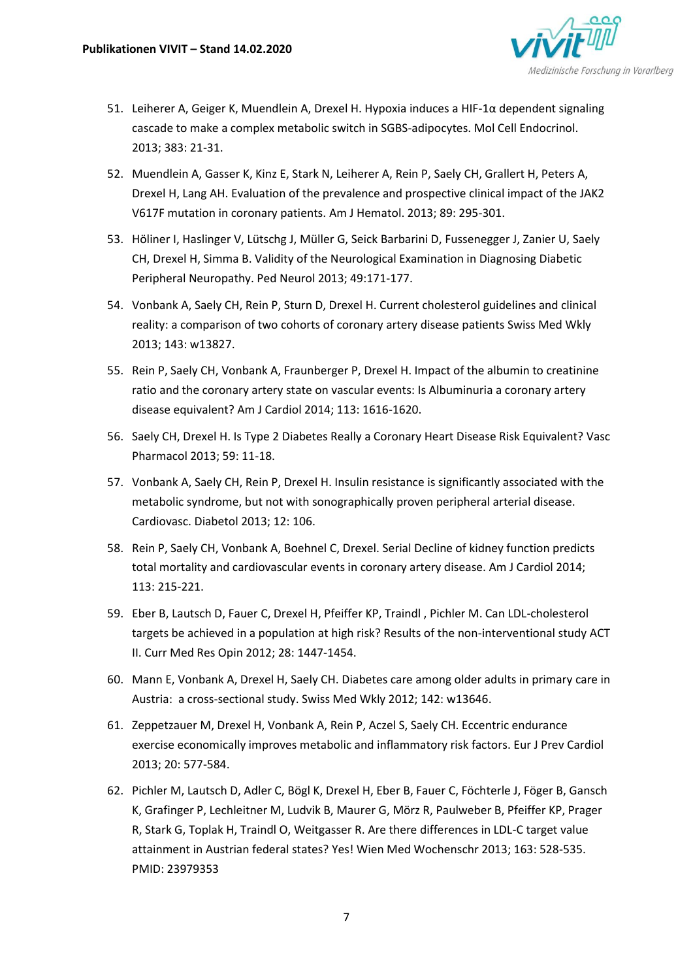

- 51. Leiherer A, Geiger K, Muendlein A, Drexel H. Hypoxia induces a HIF-1α dependent signaling cascade to make a complex metabolic switch in SGBS-adipocytes. Mol Cell Endocrinol. 2013; 383: 21-31.
- 52. Muendlein A, Gasser K, Kinz E, Stark N, Leiherer A, Rein P, Saely CH, Grallert H, Peters A, Drexel H, Lang AH. Evaluation of the prevalence and prospective clinical impact of the JAK2 V617F mutation in coronary patients. Am J Hematol. 2013; 89: 295-301.
- 53. Höliner I, Haslinger V, Lütschg J, Müller G, Seick Barbarini D, Fussenegger J, Zanier U, Saely CH, Drexel H, Simma B. Validity of the Neurological Examination in Diagnosing Diabetic Peripheral Neuropathy. Ped Neurol 2013; 49:171-177.
- 54. Vonbank A, Saely CH, Rein P, Sturn D, Drexel H. Current cholesterol guidelines and clinical reality: a comparison of two cohorts of coronary artery disease patients Swiss Med Wkly 2013; 143: w13827.
- 55. Rein P, Saely CH, Vonbank A, Fraunberger P, Drexel H. Impact of the albumin to creatinine ratio and the coronary artery state on vascular events: Is Albuminuria a coronary artery disease equivalent? Am J Cardiol 2014; 113: 1616-1620.
- 56. Saely CH, Drexel H. Is Type 2 Diabetes Really a Coronary Heart Disease Risk Equivalent? Vasc Pharmacol 2013; 59: 11-18.
- 57. Vonbank A, Saely CH, Rein P, Drexel H. Insulin resistance is significantly associated with the metabolic syndrome, but not with sonographically proven peripheral arterial disease. Cardiovasc. Diabetol 2013; 12: 106.
- 58. Rein P, Saely CH, Vonbank A, Boehnel C, Drexel. Serial Decline of kidney function predicts total mortality and cardiovascular events in coronary artery disease. Am J Cardiol 2014; 113: 215-221.
- 59. Eber B, Lautsch D, Fauer C, Drexel H, Pfeiffer KP, Traindl , Pichler M. Can LDL-cholesterol targets be achieved in a population at high risk? Results of the non-interventional study ACT II. Curr Med Res Opin 2012; 28: 1447-1454.
- 60. Mann E, Vonbank A, Drexel H, Saely CH. Diabetes care among older adults in primary care in Austria: a cross-sectional study. Swiss Med Wkly 2012; 142: w13646.
- 61. Zeppetzauer M, Drexel H, Vonbank A, Rein P, Aczel S, Saely CH. Eccentric endurance exercise economically improves metabolic and inflammatory risk factors. Eur J Prev Cardiol 2013; 20: 577-584.
- 62. Pichler M, Lautsch D, Adler C, Bögl K, Drexel H, Eber B, Fauer C, Föchterle J, Föger B, Gansch K, Grafinger P, Lechleitner M, Ludvik B, Maurer G, Mörz R, Paulweber B, Pfeiffer KP, Prager R, Stark G, Toplak H, Traindl O, Weitgasser R. Are there differences in LDL-C target value attainment in Austrian federal states? Yes! Wien Med Wochenschr 2013; 163: 528-535. PMID: 23979353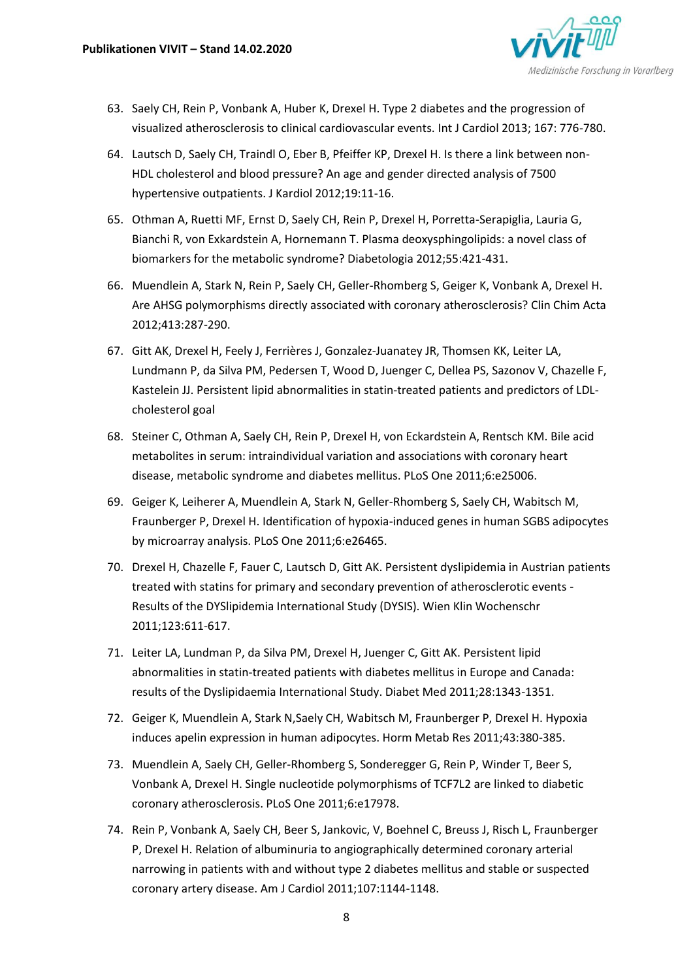

- 63. Saely CH, Rein P, Vonbank A, Huber K, Drexel H. Type 2 diabetes and the progression of visualized atherosclerosis to clinical cardiovascular events. Int J Cardiol 2013; 167: 776-780.
- 64. Lautsch D, Saely CH, Traindl O, Eber B, Pfeiffer KP, Drexel H. Is there a link between non-HDL cholesterol and blood pressure? An age and gender directed analysis of 7500 hypertensive outpatients. J Kardiol 2012;19:11-16.
- 65. Othman A, Ruetti MF, Ernst D, Saely CH, Rein P, Drexel H, Porretta-Serapiglia, Lauria G, Bianchi R, von Exkardstein A, Hornemann T. Plasma deoxysphingolipids: a novel class of biomarkers for the metabolic syndrome? Diabetologia 2012;55:421-431.
- 66. Muendlein A, Stark N, Rein P, Saely CH, Geller-Rhomberg S, Geiger K, Vonbank A, Drexel H. Are AHSG polymorphisms directly associated with coronary atherosclerosis? Clin Chim Acta 2012;413:287-290.
- 67. Gitt AK, Drexel H, Feely J, Ferrières J, Gonzalez-Juanatey JR, Thomsen KK, Leiter LA, Lundmann P, da Silva PM, Pedersen T, Wood D, Juenger C, Dellea PS, Sazonov V, Chazelle F, Kastelein JJ. Persistent lipid abnormalities in statin-treated patients and predictors of LDLcholesterol goal
- 68. Steiner C, Othman A, Saely CH, Rein P, Drexel H, von Eckardstein A, Rentsch KM. Bile acid metabolites in serum: intraindividual variation and associations with coronary heart disease, metabolic syndrome and diabetes mellitus. PLoS One 2011;6:e25006.
- 69. Geiger K, Leiherer A, Muendlein A, Stark N, Geller-Rhomberg S, Saely CH, Wabitsch M, Fraunberger P, Drexel H. Identification of hypoxia-induced genes in human SGBS adipocytes by microarray analysis. PLoS One 2011;6:e26465.
- 70. Drexel H, Chazelle F, Fauer C, Lautsch D, Gitt AK. Persistent dyslipidemia in Austrian patients treated with statins for primary and secondary prevention of atherosclerotic events - Results of the DYSlipidemia International Study (DYSIS). Wien Klin Wochenschr 2011;123:611-617.
- 71. Leiter LA, Lundman P, da Silva PM, Drexel H, Juenger C, Gitt AK. Persistent lipid abnormalities in statin-treated patients with diabetes mellitus in Europe and Canada: results of the Dyslipidaemia International Study. Diabet Med 2011;28:1343-1351.
- 72. Geiger K, Muendlein A, Stark N,Saely CH, Wabitsch M, Fraunberger P, Drexel H. Hypoxia induces apelin expression in human adipocytes. Horm Metab Res 2011;43:380-385.
- 73. Muendlein A, Saely CH, Geller-Rhomberg S, Sonderegger G, Rein P, Winder T, Beer S, Vonbank A, Drexel H. Single nucleotide polymorphisms of TCF7L2 are linked to diabetic coronary atherosclerosis. PLoS One 2011;6:e17978.
- 74. Rein P, Vonbank A, Saely CH, Beer S, Jankovic, V, Boehnel C, Breuss J, Risch L, Fraunberger P, Drexel H. Relation of albuminuria to angiographically determined coronary arterial narrowing in patients with and without type 2 diabetes mellitus and stable or suspected coronary artery disease. Am J Cardiol 2011;107:1144-1148.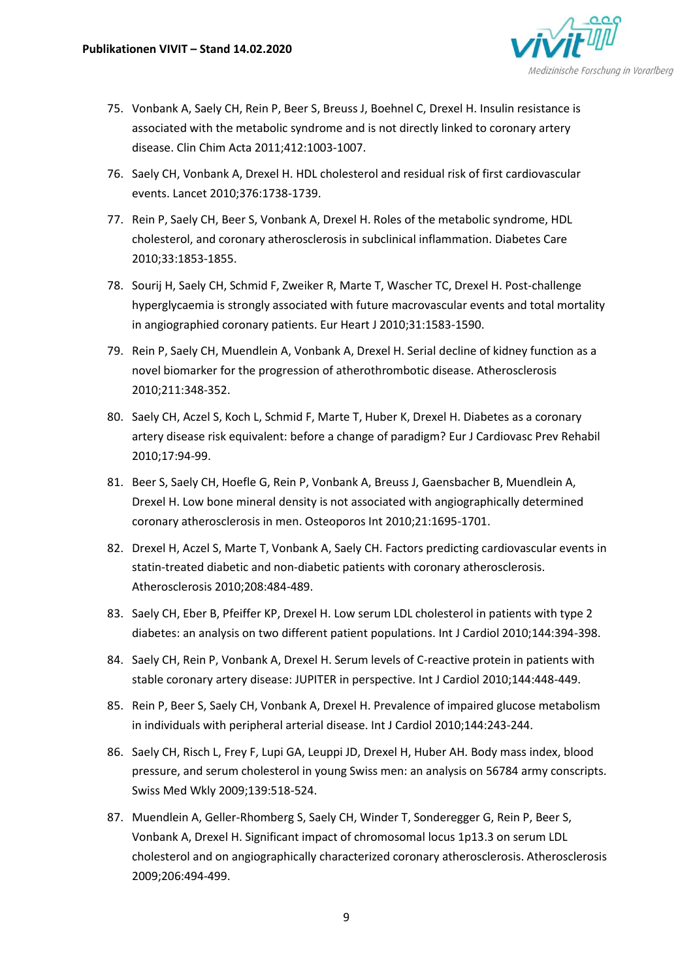

- 75. Vonbank A, Saely CH, Rein P, Beer S, Breuss J, Boehnel C, Drexel H. Insulin resistance is associated with the metabolic syndrome and is not directly linked to coronary artery disease. Clin Chim Acta 2011;412:1003-1007.
- 76. Saely CH, Vonbank A, Drexel H. HDL cholesterol and residual risk of first cardiovascular events. Lancet 2010;376:1738-1739.
- 77. Rein P, Saely CH, Beer S, Vonbank A, Drexel H. Roles of the metabolic syndrome, HDL cholesterol, and coronary atherosclerosis in subclinical inflammation. Diabetes Care 2010;33:1853-1855.
- 78. Sourij H, Saely CH, Schmid F, Zweiker R, Marte T, Wascher TC, Drexel H. Post-challenge hyperglycaemia is strongly associated with future macrovascular events and total mortality in angiographied coronary patients. Eur Heart J 2010;31:1583-1590.
- 79. Rein P, Saely CH, Muendlein A, Vonbank A, Drexel H. Serial decline of kidney function as a novel biomarker for the progression of atherothrombotic disease. Atherosclerosis 2010;211:348-352.
- 80. Saely CH, Aczel S, Koch L, Schmid F, Marte T, Huber K, Drexel H. Diabetes as a coronary artery disease risk equivalent: before a change of paradigm? Eur J Cardiovasc Prev Rehabil 2010;17:94-99.
- 81. Beer S, Saely CH, Hoefle G, Rein P, Vonbank A, Breuss J, Gaensbacher B, Muendlein A, Drexel H. Low bone mineral density is not associated with angiographically determined coronary atherosclerosis in men. Osteoporos Int 2010;21:1695-1701.
- 82. Drexel H, Aczel S, Marte T, Vonbank A, Saely CH. Factors predicting cardiovascular events in statin-treated diabetic and non-diabetic patients with coronary atherosclerosis. Atherosclerosis 2010;208:484-489.
- 83. Saely CH, Eber B, Pfeiffer KP, Drexel H. Low serum LDL cholesterol in patients with type 2 diabetes: an analysis on two different patient populations. Int J Cardiol 2010;144:394-398.
- 84. Saely CH, Rein P, Vonbank A, Drexel H. Serum levels of C-reactive protein in patients with stable coronary artery disease: JUPITER in perspective. Int J Cardiol 2010;144:448-449.
- 85. Rein P, Beer S, Saely CH, Vonbank A, Drexel H. Prevalence of impaired glucose metabolism in individuals with peripheral arterial disease. Int J Cardiol 2010;144:243-244.
- 86. Saely CH, Risch L, Frey F, Lupi GA, Leuppi JD, Drexel H, Huber AH. Body mass index, blood pressure, and serum cholesterol in young Swiss men: an analysis on 56784 army conscripts. Swiss Med Wkly 2009;139:518-524.
- 87. Muendlein A, Geller-Rhomberg S, Saely CH, Winder T, Sonderegger G, Rein P, Beer S, Vonbank A, Drexel H. Significant impact of chromosomal locus 1p13.3 on serum LDL cholesterol and on angiographically characterized coronary atherosclerosis. Atherosclerosis 2009;206:494-499.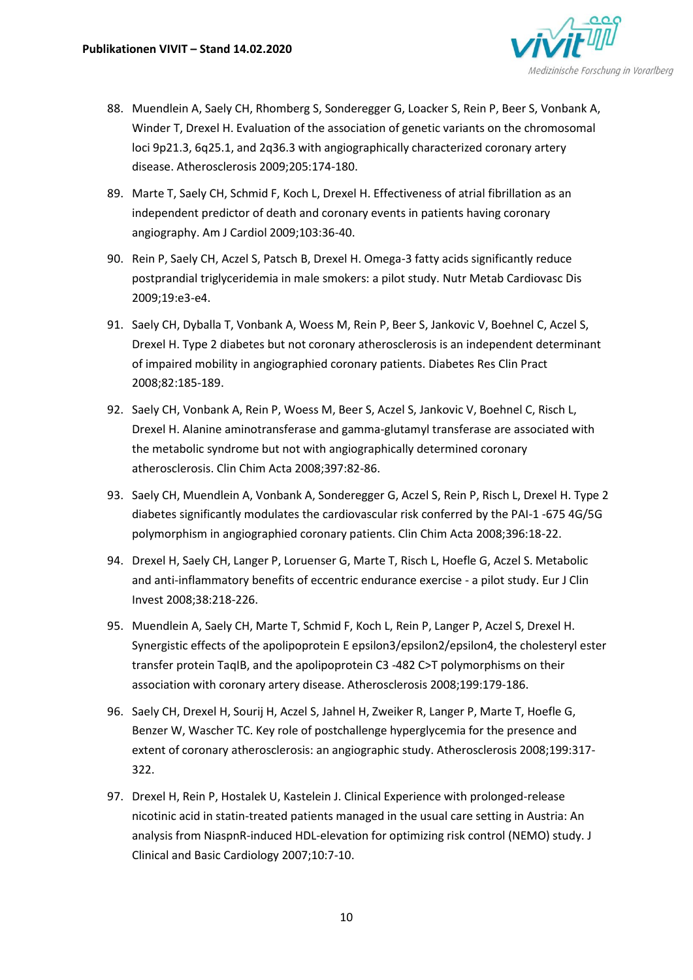

- 88. Muendlein A, Saely CH, Rhomberg S, Sonderegger G, Loacker S, Rein P, Beer S, Vonbank A, Winder T, Drexel H. Evaluation of the association of genetic variants on the chromosomal loci 9p21.3, 6q25.1, and 2q36.3 with angiographically characterized coronary artery disease. Atherosclerosis 2009;205:174-180.
- 89. Marte T, Saely CH, Schmid F, Koch L, Drexel H. Effectiveness of atrial fibrillation as an independent predictor of death and coronary events in patients having coronary angiography. Am J Cardiol 2009;103:36-40.
- 90. Rein P, Saely CH, Aczel S, Patsch B, Drexel H. Omega-3 fatty acids significantly reduce postprandial triglyceridemia in male smokers: a pilot study. Nutr Metab Cardiovasc Dis 2009;19:e3-e4.
- 91. Saely CH, Dyballa T, Vonbank A, Woess M, Rein P, Beer S, Jankovic V, Boehnel C, Aczel S, Drexel H. Type 2 diabetes but not coronary atherosclerosis is an independent determinant of impaired mobility in angiographied coronary patients. Diabetes Res Clin Pract 2008;82:185-189.
- 92. Saely CH, Vonbank A, Rein P, Woess M, Beer S, Aczel S, Jankovic V, Boehnel C, Risch L, Drexel H. Alanine aminotransferase and gamma-glutamyl transferase are associated with the metabolic syndrome but not with angiographically determined coronary atherosclerosis. Clin Chim Acta 2008;397:82-86.
- 93. Saely CH, Muendlein A, Vonbank A, Sonderegger G, Aczel S, Rein P, Risch L, Drexel H. Type 2 diabetes significantly modulates the cardiovascular risk conferred by the PAI-1 -675 4G/5G polymorphism in angiographied coronary patients. Clin Chim Acta 2008;396:18-22.
- 94. Drexel H, Saely CH, Langer P, Loruenser G, Marte T, Risch L, Hoefle G, Aczel S. Metabolic and anti-inflammatory benefits of eccentric endurance exercise - a pilot study. Eur J Clin Invest 2008;38:218-226.
- 95. Muendlein A, Saely CH, Marte T, Schmid F, Koch L, Rein P, Langer P, Aczel S, Drexel H. Synergistic effects of the apolipoprotein E epsilon3/epsilon2/epsilon4, the cholesteryl ester transfer protein TaqIB, and the apolipoprotein C3 -482 C>T polymorphisms on their association with coronary artery disease. Atherosclerosis 2008;199:179-186.
- 96. Saely CH, Drexel H, Sourij H, Aczel S, Jahnel H, Zweiker R, Langer P, Marte T, Hoefle G, Benzer W, Wascher TC. Key role of postchallenge hyperglycemia for the presence and extent of coronary atherosclerosis: an angiographic study. Atherosclerosis 2008;199:317- 322.
- 97. Drexel H, Rein P, Hostalek U, Kastelein J. Clinical Experience with prolonged-release nicotinic acid in statin-treated patients managed in the usual care setting in Austria: An analysis from NiaspnR-induced HDL-elevation for optimizing risk control (NEMO) study. J Clinical and Basic Cardiology 2007;10:7-10.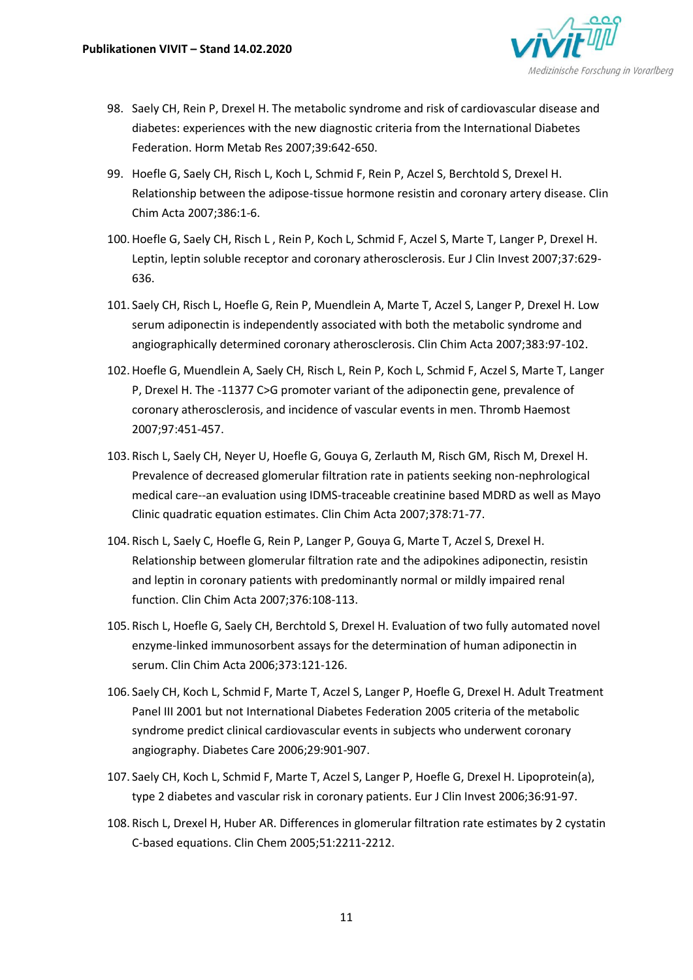

- 98. Saely CH, Rein P, Drexel H. The metabolic syndrome and risk of cardiovascular disease and diabetes: experiences with the new diagnostic criteria from the International Diabetes Federation. Horm Metab Res 2007;39:642-650.
- 99. Hoefle G, Saely CH, Risch L, Koch L, Schmid F, Rein P, Aczel S, Berchtold S, Drexel H. Relationship between the adipose-tissue hormone resistin and coronary artery disease. Clin Chim Acta 2007;386:1-6.
- 100.Hoefle G, Saely CH, Risch L , Rein P, Koch L, Schmid F, Aczel S, Marte T, Langer P, Drexel H. Leptin, leptin soluble receptor and coronary atherosclerosis. Eur J Clin Invest 2007;37:629- 636.
- 101. Saely CH, Risch L, Hoefle G, Rein P, Muendlein A, Marte T, Aczel S, Langer P, Drexel H. Low serum adiponectin is independently associated with both the metabolic syndrome and angiographically determined coronary atherosclerosis. Clin Chim Acta 2007;383:97-102.
- 102.Hoefle G, Muendlein A, Saely CH, Risch L, Rein P, Koch L, Schmid F, Aczel S, Marte T, Langer P, Drexel H. The -11377 C>G promoter variant of the adiponectin gene, prevalence of coronary atherosclerosis, and incidence of vascular events in men. Thromb Haemost 2007;97:451-457.
- 103. Risch L, Saely CH, Neyer U, Hoefle G, Gouya G, Zerlauth M, Risch GM, Risch M, Drexel H. Prevalence of decreased glomerular filtration rate in patients seeking non-nephrological medical care--an evaluation using IDMS-traceable creatinine based MDRD as well as Mayo Clinic quadratic equation estimates. Clin Chim Acta 2007;378:71-77.
- 104. Risch L, Saely C, Hoefle G, Rein P, Langer P, Gouya G, Marte T, Aczel S, Drexel H. Relationship between glomerular filtration rate and the adipokines adiponectin, resistin and leptin in coronary patients with predominantly normal or mildly impaired renal function. Clin Chim Acta 2007;376:108-113.
- 105. Risch L, Hoefle G, Saely CH, Berchtold S, Drexel H. Evaluation of two fully automated novel enzyme-linked immunosorbent assays for the determination of human adiponectin in serum. Clin Chim Acta 2006;373:121-126.
- 106. Saely CH, Koch L, Schmid F, Marte T, Aczel S, Langer P, Hoefle G, Drexel H. Adult Treatment Panel III 2001 but not International Diabetes Federation 2005 criteria of the metabolic syndrome predict clinical cardiovascular events in subjects who underwent coronary angiography. Diabetes Care 2006;29:901-907.
- 107. Saely CH, Koch L, Schmid F, Marte T, Aczel S, Langer P, Hoefle G, Drexel H. Lipoprotein(a), type 2 diabetes and vascular risk in coronary patients. Eur J Clin Invest 2006;36:91-97.
- 108. Risch L, Drexel H, Huber AR. Differences in glomerular filtration rate estimates by 2 cystatin C-based equations. Clin Chem 2005;51:2211-2212.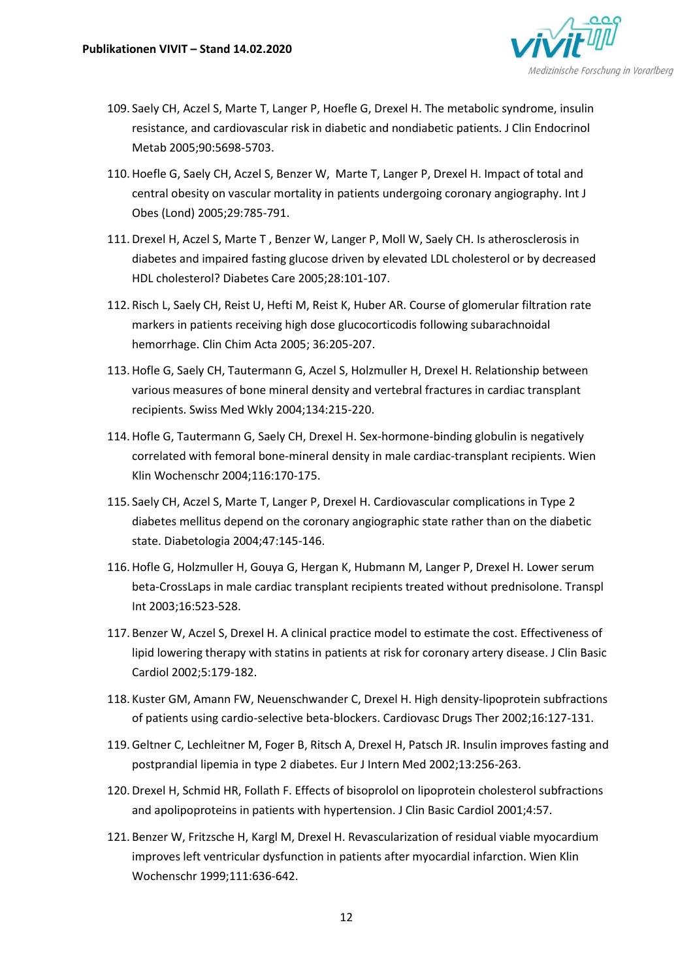

- 109. Saely CH, Aczel S, Marte T, Langer P, Hoefle G, Drexel H. The metabolic syndrome, insulin resistance, and cardiovascular risk in diabetic and nondiabetic patients. J Clin Endocrinol Metab 2005;90:5698-5703.
- 110.Hoefle G, Saely CH, Aczel S, Benzer W, Marte T, Langer P, Drexel H. Impact of total and central obesity on vascular mortality in patients undergoing coronary angiography. Int J Obes (Lond) 2005;29:785-791.
- 111.Drexel H, Aczel S, Marte T , Benzer W, Langer P, Moll W, Saely CH. Is atherosclerosis in diabetes and impaired fasting glucose driven by elevated LDL cholesterol or by decreased HDL cholesterol? Diabetes Care 2005;28:101-107.
- 112. Risch L, Saely CH, Reist U, Hefti M, Reist K, Huber AR. Course of glomerular filtration rate markers in patients receiving high dose glucocorticodis following subarachnoidal hemorrhage. Clin Chim Acta 2005; 36:205-207.
- 113.Hofle G, Saely CH, Tautermann G, Aczel S, Holzmuller H, Drexel H. Relationship between various measures of bone mineral density and vertebral fractures in cardiac transplant recipients. Swiss Med Wkly 2004;134:215-220.
- 114.Hofle G, Tautermann G, Saely CH, Drexel H. Sex-hormone-binding globulin is negatively correlated with femoral bone-mineral density in male cardiac-transplant recipients. Wien Klin Wochenschr 2004;116:170-175.
- 115. Saely CH, Aczel S, Marte T, Langer P, Drexel H. Cardiovascular complications in Type 2 diabetes mellitus depend on the coronary angiographic state rather than on the diabetic state. Diabetologia 2004;47:145-146.
- 116.Hofle G, Holzmuller H, Gouya G, Hergan K, Hubmann M, Langer P, Drexel H. Lower serum beta-CrossLaps in male cardiac transplant recipients treated without prednisolone. Transpl Int 2003;16:523-528.
- 117. Benzer W, Aczel S, Drexel H. A clinical practice model to estimate the cost. Effectiveness of lipid lowering therapy with statins in patients at risk for coronary artery disease. J Clin Basic Cardiol 2002;5:179-182.
- 118. Kuster GM, Amann FW, Neuenschwander C, Drexel H. High density-lipoprotein subfractions of patients using cardio-selective beta-blockers. Cardiovasc Drugs Ther 2002;16:127-131.
- 119.Geltner C, Lechleitner M, Foger B, Ritsch A, Drexel H, Patsch JR. Insulin improves fasting and postprandial lipemia in type 2 diabetes. Eur J Intern Med 2002;13:256-263.
- 120.Drexel H, Schmid HR, Follath F. Effects of bisoprolol on lipoprotein cholesterol subfractions and apolipoproteins in patients with hypertension. J Clin Basic Cardiol 2001;4:57.
- 121. Benzer W, Fritzsche H, Kargl M, Drexel H. Revascularization of residual viable myocardium improves left ventricular dysfunction in patients after myocardial infarction. Wien Klin Wochenschr 1999;111:636-642.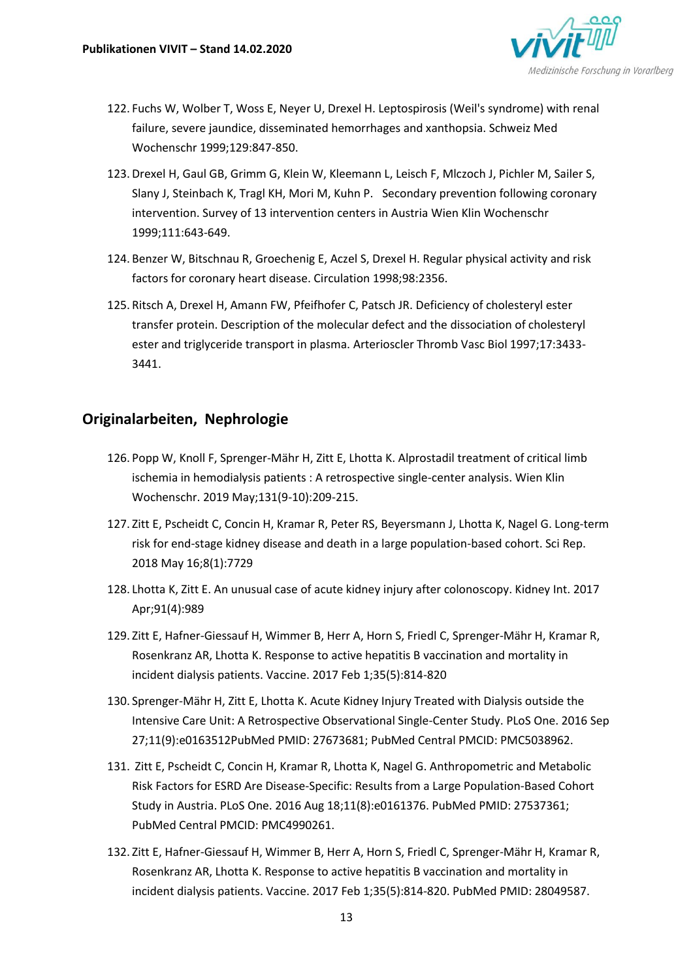

- 122. Fuchs W, Wolber T, Woss E, Neyer U, Drexel H. Leptospirosis (Weil's syndrome) with renal failure, severe jaundice, disseminated hemorrhages and xanthopsia. Schweiz Med Wochenschr 1999;129:847-850.
- 123.Drexel H, Gaul GB, Grimm G, Klein W, Kleemann L, Leisch F, Mlczoch J, Pichler M, Sailer S, Slany J, Steinbach K, Tragl KH, Mori M, Kuhn P. Secondary prevention following coronary intervention. Survey of 13 intervention centers in Austria Wien Klin Wochenschr 1999;111:643-649.
- 124. Benzer W, Bitschnau R, Groechenig E, Aczel S, Drexel H. Regular physical activity and risk factors for coronary heart disease. Circulation 1998;98:2356.
- 125. Ritsch A, Drexel H, Amann FW, Pfeifhofer C, Patsch JR. Deficiency of cholesteryl ester transfer protein. Description of the molecular defect and the dissociation of cholesteryl ester and triglyceride transport in plasma. Arterioscler Thromb Vasc Biol 1997;17:3433- 3441.

### **Originalarbeiten, Nephrologie**

- 126. Popp W, Knoll F, Sprenger-Mähr H, Zitt E, Lhotta K. Alprostadil treatment of critical limb ischemia in hemodialysis patients : A retrospective single-center analysis. Wien Klin Wochenschr. 2019 May;131(9-10):209-215.
- 127. Zitt E, Pscheidt C, Concin H, Kramar R, Peter RS, Beyersmann J, Lhotta K, Nagel G. Long-term risk for end-stage kidney disease and death in a large population-based cohort. Sci Rep. 2018 May 16;8(1):7729
- 128. Lhotta K, Zitt E. An unusual case of acute kidney injury after colonoscopy. Kidney Int. 2017 Apr;91(4):989
- 129. Zitt E, Hafner-Giessauf H, Wimmer B, Herr A, Horn S, Friedl C, Sprenger-Mähr H, Kramar R, Rosenkranz AR, Lhotta K. Response to active hepatitis B vaccination and mortality in incident dialysis patients. Vaccine. 2017 Feb 1;35(5):814-820
- 130. Sprenger-Mähr H, Zitt E, Lhotta K. Acute Kidney Injury Treated with Dialysis outside the Intensive Care Unit: A Retrospective Observational Single-Center Study. PLoS One. 2016 Sep 27;11(9):e0163512PubMed PMID: 27673681; PubMed Central PMCID: PMC5038962.
- 131. Zitt E, Pscheidt C, Concin H, Kramar R, Lhotta K, Nagel G. Anthropometric and Metabolic Risk Factors for ESRD Are Disease-Specific: Results from a Large Population-Based Cohort Study in Austria. PLoS One. 2016 Aug 18;11(8):e0161376. PubMed PMID: 27537361; PubMed Central PMCID: PMC4990261.
- 132. Zitt E, Hafner-Giessauf H, Wimmer B, Herr A, Horn S, Friedl C, Sprenger-Mähr H, Kramar R, Rosenkranz AR, Lhotta K. Response to active hepatitis B vaccination and mortality in incident dialysis patients. Vaccine. 2017 Feb 1;35(5):814-820. PubMed PMID: 28049587.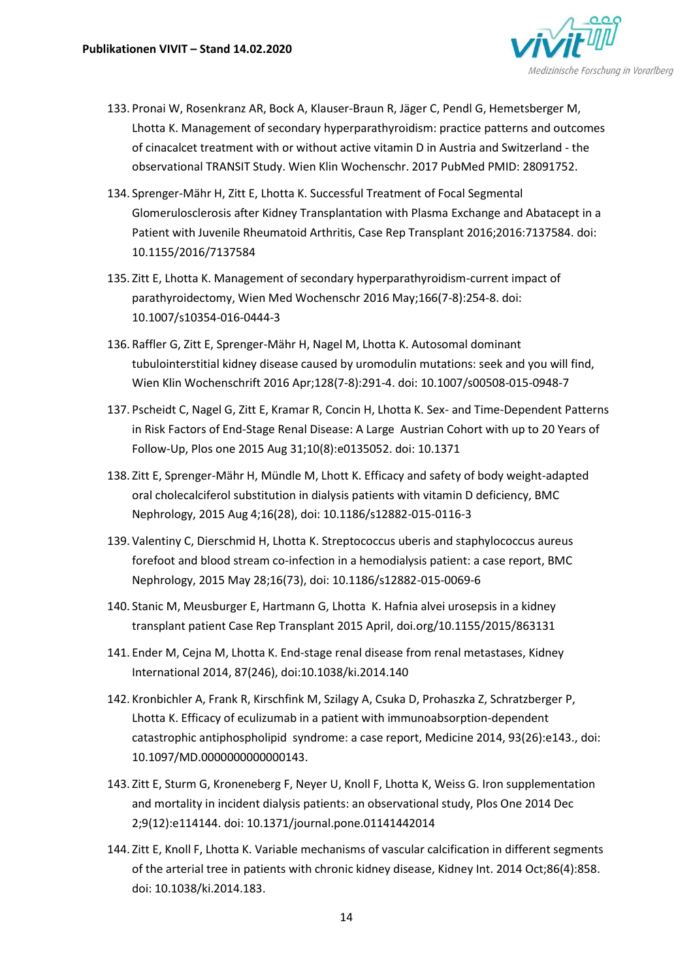

- 133. Pronai W, Rosenkranz AR, Bock A, Klauser-Braun R, Jäger C, Pendl G, Hemetsberger M, Lhotta K. Management of secondary hyperparathyroidism: practice patterns and outcomes of cinacalcet treatment with or without active vitamin D in Austria and Switzerland - the observational TRANSIT Study. Wien Klin Wochenschr. 2017 PubMed PMID: 28091752.
- 134. Sprenger-Mähr H, Zitt E, Lhotta K. Successful Treatment of Focal Segmental Glomerulosclerosis after Kidney Transplantation with Plasma Exchange and Abatacept in a Patient with Juvenile Rheumatoid Arthritis, Case Rep Transplant 2016;2016:7137584. doi: 10.1155/2016/7137584
- 135. Zitt E, Lhotta K. Management of secondary hyperparathyroidism-current impact of parathyroidectomy, Wien Med Wochenschr 2016 May;166(7-8):254-8. doi: 10.1007/s10354-016-0444-3
- 136. Raffler G, Zitt E, Sprenger-Mähr H, Nagel M, Lhotta K. Autosomal dominant tubulointerstitial kidney disease caused by uromodulin mutations: seek and you will find, Wien Klin Wochenschrift 2016 Apr;128(7-8):291-4. doi: 10.1007/s00508-015-0948-7
- 137. Pscheidt C, Nagel G, Zitt E, Kramar R, Concin H, Lhotta K. Sex- and Time-Dependent Patterns in Risk Factors of End-Stage Renal Disease: A Large Austrian Cohort with up to 20 Years of Follow-Up, Plos one 2015 Aug 31;10(8):e0135052. doi: 10.1371
- 138. Zitt E, Sprenger-Mähr H, Mündle M, Lhott K. Efficacy and safety of body weight-adapted oral cholecalciferol substitution in dialysis patients with vitamin D deficiency, BMC Nephrology, 2015 Aug 4;16(28), doi: 10.1186/s12882-015-0116-3
- 139. Valentiny C, Dierschmid H, Lhotta K. Streptococcus uberis and staphylococcus aureus forefoot and blood stream co-infection in a hemodialysis patient: a case report, BMC Nephrology, 2015 May 28;16(73), doi: 10.1186/s12882-015-0069-6
- 140. Stanic M, Meusburger E, Hartmann G, Lhotta K. Hafnia alvei urosepsis in a kidney transplant patient Case Rep Transplant 2015 April, doi.org/10.1155/2015/863131
- 141. Ender M, Cejna M, Lhotta K. End-stage renal disease from renal metastases, Kidney International 2014, 87(246), doi:10.1038/ki.2014.140
- 142. Kronbichler A, Frank R, Kirschfink M, Szilagy A, Csuka D, Prohaszka Z, Schratzberger P, Lhotta K. Efficacy of eculizumab in a patient with immunoabsorption-dependent catastrophic antiphospholipid syndrome: a case report, Medicine 2014, 93(26):e143., doi: 10.1097/MD.0000000000000143.
- 143. Zitt E, Sturm G, Kroneneberg F, Neyer U, Knoll F, Lhotta K, Weiss G. Iron supplementation and mortality in incident dialysis patients: an observational study, Plos One 2014 Dec 2;9(12):e114144. doi: 10.1371/journal.pone.01141442014
- 144. Zitt E, Knoll F, Lhotta K. Variable mechanisms of vascular calcification in different segments of the arterial tree in patients with chronic kidney disease, Kidney Int. 2014 Oct;86(4):858. doi: 10.1038/ki.2014.183.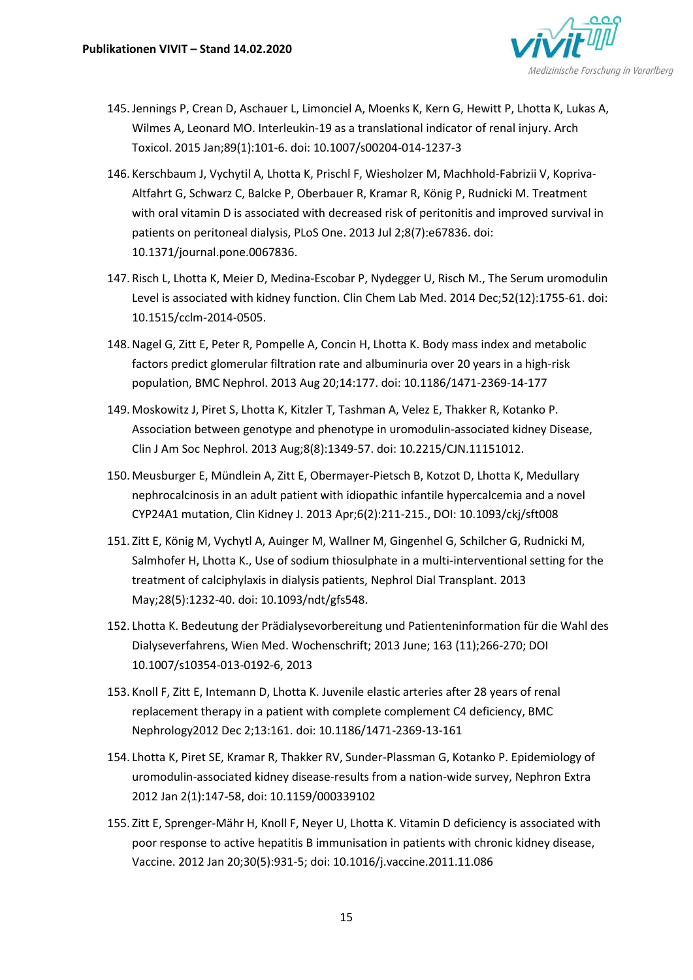

- 145.Jennings P, Crean D, Aschauer L, Limonciel A, Moenks K, Kern G, Hewitt P, Lhotta K, Lukas A, Wilmes A, Leonard MO. Interleukin-19 as a translational indicator of renal injury. Arch Toxicol. 2015 Jan;89(1):101-6. doi: 10.1007/s00204-014-1237-3
- 146. Kerschbaum J, Vychytil A, Lhotta K, Prischl F, Wiesholzer M, Machhold-Fabrizii V, Kopriva-Altfahrt G, Schwarz C, Balcke P, Oberbauer R, Kramar R, König P, Rudnicki M. Treatment with oral vitamin D is associated with decreased risk of peritonitis and improved survival in patients on peritoneal dialysis, PLoS One. 2013 Jul 2;8(7):e67836. doi: 10.1371/journal.pone.0067836.
- 147. Risch L, Lhotta K, Meier D, Medina-Escobar P, Nydegger U, Risch M., The Serum uromodulin Level is associated with kidney function. Clin Chem Lab Med. 2014 Dec;52(12):1755-61. doi: 10.1515/cclm-2014-0505.
- 148.Nagel G, Zitt E, Peter R, Pompelle A, Concin H, Lhotta K. Body mass index and metabolic factors predict glomerular filtration rate and albuminuria over 20 years in a high-risk population, BMC Nephrol. 2013 Aug 20;14:177. doi: 10.1186/1471-2369-14-177
- 149. Moskowitz J, Piret S, Lhotta K, Kitzler T, Tashman A, Velez E, Thakker R, Kotanko P. Association between genotype and phenotype in uromodulin-associated kidney Disease, Clin J Am Soc Nephrol. 2013 Aug;8(8):1349-57. doi: 10.2215/CJN.11151012.
- 150. Meusburger E, Mündlein A, Zitt E, Obermayer-Pietsch B, Kotzot D, Lhotta K, Medullary nephrocalcinosis in an adult patient with idiopathic infantile hypercalcemia and a novel CYP24A1 mutation, Clin Kidney J. 2013 Apr;6(2):211-215., DOI: 10.1093/ckj/sft008
- 151. Zitt E, König M, Vychytl A, Auinger M, Wallner M, Gingenhel G, Schilcher G, Rudnicki M, Salmhofer H, Lhotta K., Use of sodium thiosulphate in a multi-interventional setting for the treatment of calciphylaxis in dialysis patients, Nephrol Dial Transplant. 2013 May;28(5):1232-40. doi: 10.1093/ndt/gfs548.
- 152. Lhotta K. Bedeutung der Prädialysevorbereitung und Patienteninformation für die Wahl des Dialyseverfahrens, Wien Med. Wochenschrift; 2013 June; 163 (11);266-270; DOI 10.1007/s10354-013-0192-6, 2013
- 153. Knoll F, Zitt E, Intemann D, Lhotta K. Juvenile elastic arteries after 28 years of renal replacement therapy in a patient with complete complement C4 deficiency, BMC Nephrology2012 Dec 2;13:161. doi: 10.1186/1471-2369-13-161
- 154. Lhotta K, Piret SE, Kramar R, Thakker RV, Sunder-Plassman G, Kotanko P. Epidemiology of uromodulin-associated kidney disease-results from a nation-wide survey, Nephron Extra 2012 Jan 2(1):147-58, doi: 10.1159/000339102
- 155. Zitt E, Sprenger-Mähr H, Knoll F, Neyer U, Lhotta K. Vitamin D deficiency is associated with poor response to active hepatitis B immunisation in patients with chronic kidney disease, Vaccine. 2012 Jan 20;30(5):931-5; doi: 10.1016/j.vaccine.2011.11.086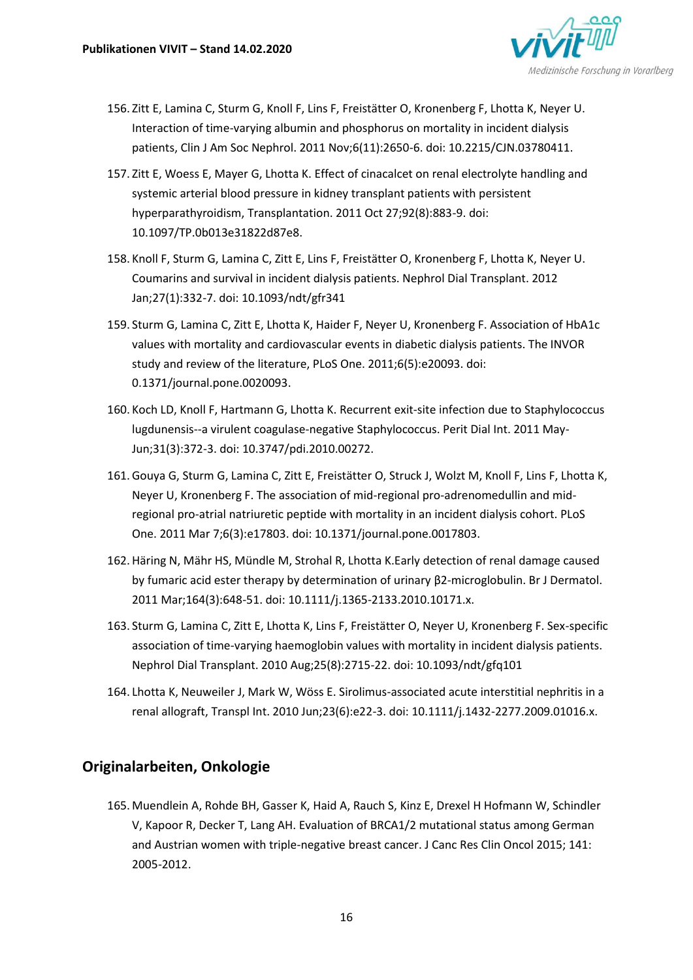

- 156. Zitt E, Lamina C, Sturm G, Knoll F, Lins F, Freistätter O, Kronenberg F, Lhotta K, Neyer U. Interaction of time-varying albumin and phosphorus on mortality in incident dialysis patients, Clin J Am Soc Nephrol. 2011 Nov;6(11):2650-6. doi: 10.2215/CJN.03780411.
- 157. Zitt E, Woess E, Mayer G, Lhotta K. Effect of cinacalcet on renal electrolyte handling and systemic arterial blood pressure in kidney transplant patients with persistent hyperparathyroidism, Transplantation. 2011 Oct 27;92(8):883-9. doi: 10.1097/TP.0b013e31822d87e8.
- 158. Knoll F, Sturm G, Lamina C, Zitt E, Lins F, Freistätter O, Kronenberg F, Lhotta K, Neyer U. Coumarins and survival in incident dialysis patients. Nephrol Dial Transplant. 2012 Jan;27(1):332-7. doi: 10.1093/ndt/gfr341
- 159. Sturm G, Lamina C, Zitt E, Lhotta K, Haider F, Neyer U, Kronenberg F. Association of HbA1c values with mortality and cardiovascular events in diabetic dialysis patients. The INVOR study and review of the literature, PLoS One. 2011;6(5):e20093. doi: 0.1371/journal.pone.0020093.
- 160. Koch LD, Knoll F, Hartmann G, Lhotta K. Recurrent exit-site infection due to Staphylococcus lugdunensis--a virulent coagulase-negative Staphylococcus. Perit Dial Int. 2011 May-Jun;31(3):372-3. doi: 10.3747/pdi.2010.00272.
- 161.Gouya G, Sturm G, Lamina C, Zitt E, Freistätter O, Struck J, Wolzt M, Knoll F, Lins F, Lhotta K, Neyer U, Kronenberg F. The association of mid-regional pro-adrenomedullin and midregional pro-atrial natriuretic peptide with mortality in an incident dialysis cohort. PLoS One. 2011 Mar 7;6(3):e17803. doi: 10.1371/journal.pone.0017803.
- 162.Häring N, Mähr HS, Mündle M, Strohal R, Lhotta K.Early detection of renal damage caused by fumaric acid ester therapy by determination of urinary β2-microglobulin. Br J Dermatol. 2011 Mar;164(3):648-51. doi: 10.1111/j.1365-2133.2010.10171.x.
- 163. Sturm G, Lamina C, Zitt E, Lhotta K, Lins F, Freistätter O, Neyer U, Kronenberg F. Sex-specific association of time-varying haemoglobin values with mortality in incident dialysis patients. Nephrol Dial Transplant. 2010 Aug;25(8):2715-22. doi: 10.1093/ndt/gfq101
- 164. Lhotta K, Neuweiler J, Mark W, Wöss E. Sirolimus-associated acute interstitial nephritis in a renal allograft, Transpl Int. 2010 Jun;23(6):e22-3. doi: 10.1111/j.1432-2277.2009.01016.x.

## **Originalarbeiten, Onkologie**

165. Muendlein A, Rohde BH, Gasser K, Haid A, Rauch S, Kinz E, Drexel H Hofmann W, Schindler V, Kapoor R, Decker T, Lang AH. Evaluation of BRCA1/2 mutational status among German and Austrian women with triple-negative breast cancer. J Canc Res Clin Oncol 2015; 141: 2005-2012.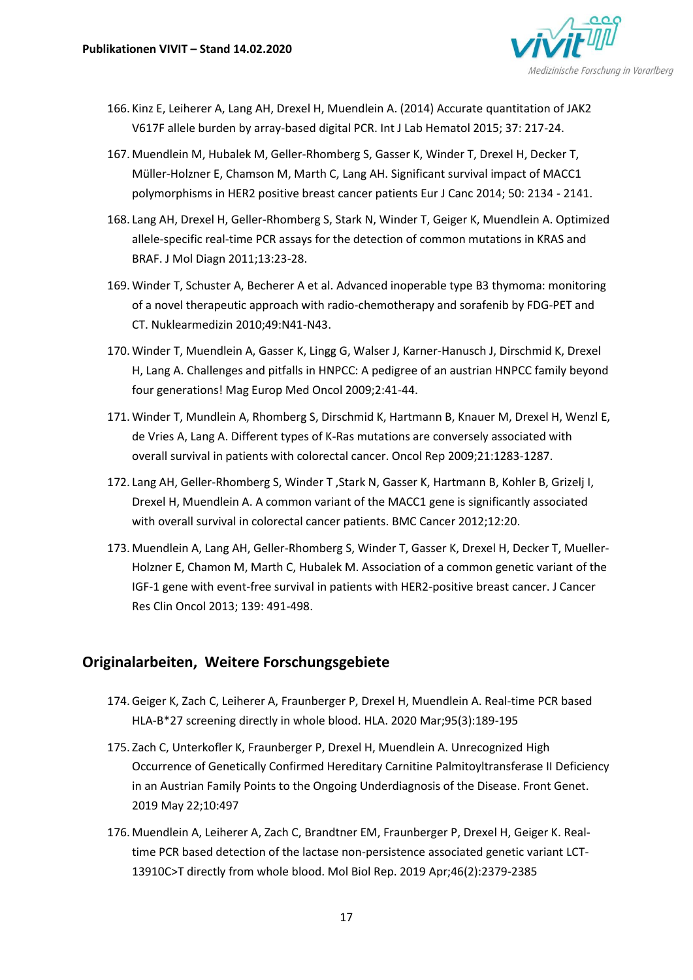

- 166. Kinz E, Leiherer A, Lang AH, Drexel H, Muendlein A. (2014) Accurate quantitation of JAK2 V617F allele burden by array-based digital PCR. Int J Lab Hematol 2015; 37: 217-24.
- 167. Muendlein M, Hubalek M, Geller-Rhomberg S, Gasser K, Winder T, Drexel H, Decker T, Müller-Holzner E, Chamson M, Marth C, Lang AH. Significant survival impact of MACC1 polymorphisms in HER2 positive breast cancer patients Eur J Canc 2014; 50: 2134 - 2141.
- 168. Lang AH, Drexel H, Geller-Rhomberg S, Stark N, Winder T, Geiger K, Muendlein A. Optimized allele-specific real-time PCR assays for the detection of common mutations in KRAS and BRAF. J Mol Diagn 2011;13:23-28.
- 169. Winder T, Schuster A, Becherer A et al. Advanced inoperable type B3 thymoma: monitoring of a novel therapeutic approach with radio-chemotherapy and sorafenib by FDG-PET and CT. Nuklearmedizin 2010;49:N41-N43.
- 170. Winder T, Muendlein A, Gasser K, Lingg G, Walser J, Karner-Hanusch J, Dirschmid K, Drexel H, Lang A. Challenges and pitfalls in HNPCC: A pedigree of an austrian HNPCC family beyond four generations! Mag Europ Med Oncol 2009;2:41-44.
- 171. Winder T, Mundlein A, Rhomberg S, Dirschmid K, Hartmann B, Knauer M, Drexel H, Wenzl E, de Vries A, Lang A. Different types of K-Ras mutations are conversely associated with overall survival in patients with colorectal cancer. Oncol Rep 2009;21:1283-1287.
- 172. Lang AH, Geller-Rhomberg S, Winder T ,Stark N, Gasser K, Hartmann B, Kohler B, Grizelj I, Drexel H, Muendlein A. A common variant of the MACC1 gene is significantly associated with overall survival in colorectal cancer patients. BMC Cancer 2012;12:20.
- 173. Muendlein A, Lang AH, Geller-Rhomberg S, Winder T, Gasser K, Drexel H, Decker T, Mueller-Holzner E, Chamon M, Marth C, Hubalek M. Association of a common genetic variant of the IGF-1 gene with event-free survival in patients with HER2-positive breast cancer. J Cancer Res Clin Oncol 2013; 139: 491-498.

## **Originalarbeiten, Weitere Forschungsgebiete**

- 174.Geiger K, Zach C, Leiherer A, Fraunberger P, Drexel H, Muendlein A. Real-time PCR based HLA-B\*27 screening directly in whole blood. HLA. 2020 Mar;95(3):189-195
- 175. Zach C, Unterkofler K, Fraunberger P, Drexel H, Muendlein A. Unrecognized High Occurrence of Genetically Confirmed Hereditary Carnitine Palmitoyltransferase II Deficiency in an Austrian Family Points to the Ongoing Underdiagnosis of the Disease. Front Genet. 2019 May 22;10:497
- 176. Muendlein A, Leiherer A, Zach C, Brandtner EM, Fraunberger P, Drexel H, Geiger K. Realtime PCR based detection of the lactase non-persistence associated genetic variant LCT-13910C>T directly from whole blood. Mol Biol Rep. 2019 Apr;46(2):2379-2385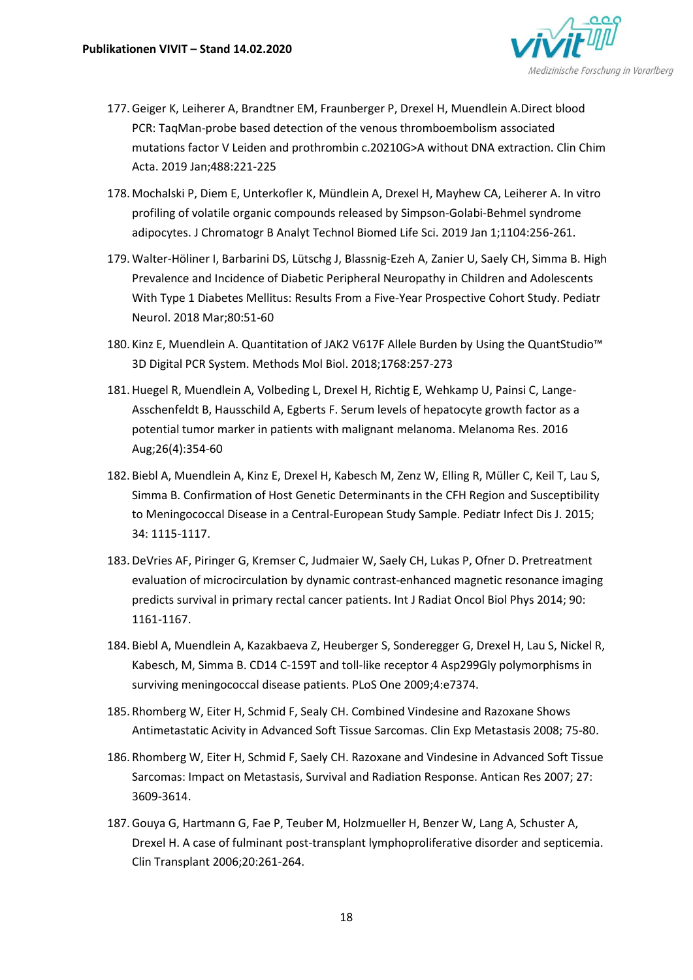

- 177.Geiger K, Leiherer A, Brandtner EM, Fraunberger P, Drexel H, Muendlein A.Direct blood PCR: TaqMan-probe based detection of the venous thromboembolism associated mutations factor V Leiden and prothrombin c.20210G>A without DNA extraction. Clin Chim Acta. 2019 Jan;488:221-225
- 178. Mochalski P, Diem E, Unterkofler K, Mündlein A, Drexel H, Mayhew CA, Leiherer A. In vitro profiling of volatile organic compounds released by Simpson-Golabi-Behmel syndrome adipocytes. J Chromatogr B Analyt Technol Biomed Life Sci. 2019 Jan 1;1104:256-261.
- 179. Walter-Höliner I, Barbarini DS, Lütschg J, Blassnig-Ezeh A, Zanier U, Saely CH, Simma B. High Prevalence and Incidence of Diabetic Peripheral Neuropathy in Children and Adolescents With Type 1 Diabetes Mellitus: Results From a Five-Year Prospective Cohort Study. Pediatr Neurol. 2018 Mar;80:51-60
- 180. Kinz E, Muendlein A. Quantitation of JAK2 V617F Allele Burden by Using the QuantStudio™ 3D Digital PCR System. Methods Mol Biol. 2018;1768:257-273
- 181.Huegel R, Muendlein A, Volbeding L, Drexel H, Richtig E, Wehkamp U, Painsi C, Lange-Asschenfeldt B, Hausschild A, Egberts F. Serum levels of hepatocyte growth factor as a potential tumor marker in patients with malignant melanoma. Melanoma Res. 2016 Aug;26(4):354-60
- 182. Biebl A, Muendlein A, Kinz E, Drexel H, Kabesch M, Zenz W, Elling R, Müller C, Keil T, Lau S, Simma B. Confirmation of Host Genetic Determinants in the CFH Region and Susceptibility to Meningococcal Disease in a Central-European Study Sample. Pediatr Infect Dis J. 2015; 34: 1115-1117.
- 183.DeVries AF, Piringer G, Kremser C, Judmaier W, Saely CH, Lukas P, Ofner D. Pretreatment evaluation of microcirculation by dynamic contrast-enhanced magnetic resonance imaging predicts survival in primary rectal cancer patients. Int J Radiat Oncol Biol Phys 2014; 90: 1161-1167.
- 184. Biebl A, Muendlein A, Kazakbaeva Z, Heuberger S, Sonderegger G, Drexel H, Lau S, Nickel R, Kabesch, M, Simma B. CD14 C-159T and toll-like receptor 4 Asp299Gly polymorphisms in surviving meningococcal disease patients. PLoS One 2009;4:e7374.
- 185. Rhomberg W, Eiter H, Schmid F, Sealy CH. Combined Vindesine and Razoxane Shows Antimetastatic Acivity in Advanced Soft Tissue Sarcomas. Clin Exp Metastasis 2008; 75-80.
- 186. Rhomberg W, Eiter H, Schmid F, Saely CH. Razoxane and Vindesine in Advanced Soft Tissue Sarcomas: Impact on Metastasis, Survival and Radiation Response. Antican Res 2007; 27: 3609-3614.
- 187.Gouya G, Hartmann G, Fae P, Teuber M, Holzmueller H, Benzer W, Lang A, Schuster A, Drexel H. A case of fulminant post-transplant lymphoproliferative disorder and septicemia. Clin Transplant 2006;20:261-264.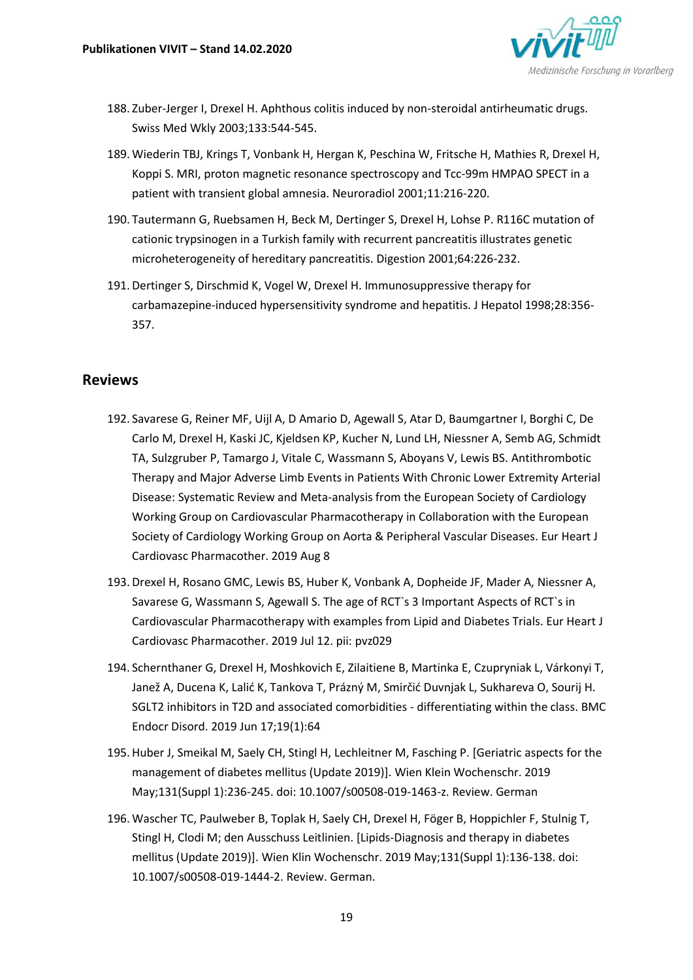

- 188. Zuber-Jerger I, Drexel H. Aphthous colitis induced by non-steroidal antirheumatic drugs. Swiss Med Wkly 2003;133:544-545.
- 189. Wiederin TBJ, Krings T, Vonbank H, Hergan K, Peschina W, Fritsche H, Mathies R, Drexel H, Koppi S. MRI, proton magnetic resonance spectroscopy and Tcc-99m HMPAO SPECT in a patient with transient global amnesia. Neuroradiol 2001;11:216-220.
- 190. Tautermann G, Ruebsamen H, Beck M, Dertinger S, Drexel H, Lohse P. R116C mutation of cationic trypsinogen in a Turkish family with recurrent pancreatitis illustrates genetic microheterogeneity of hereditary pancreatitis. Digestion 2001;64:226-232.
- 191.Dertinger S, Dirschmid K, Vogel W, Drexel H. Immunosuppressive therapy for carbamazepine-induced hypersensitivity syndrome and hepatitis. J Hepatol 1998;28:356- 357.

### **Reviews**

- 192. Savarese G, Reiner MF, Uijl A, D Amario D, Agewall S, Atar D, Baumgartner I, Borghi C, De Carlo M, Drexel H, Kaski JC, Kjeldsen KP, Kucher N, Lund LH, Niessner A, Semb AG, Schmidt TA, Sulzgruber P, Tamargo J, Vitale C, Wassmann S, Aboyans V, Lewis BS. Antithrombotic Therapy and Major Adverse Limb Events in Patients With Chronic Lower Extremity Arterial Disease: Systematic Review and Meta-analysis from the European Society of Cardiology Working Group on Cardiovascular Pharmacotherapy in Collaboration with the European Society of Cardiology Working Group on Aorta & Peripheral Vascular Diseases. Eur Heart J Cardiovasc Pharmacother. 2019 Aug 8
- 193.Drexel H, Rosano GMC, Lewis BS, Huber K, Vonbank A, Dopheide JF, Mader A, Niessner A, Savarese G, Wassmann S, Agewall S. The age of RCT`s 3 Important Aspects of RCT`s in Cardiovascular Pharmacotherapy with examples from Lipid and Diabetes Trials. Eur Heart J Cardiovasc Pharmacother. 2019 Jul 12. pii: pvz029
- 194. Schernthaner G, Drexel H, Moshkovich E, Zilaitiene B, Martinka E, Czupryniak L, Várkonyi T, Janež A, Ducena K, Lalić K, Tankova T, Prázný M, Smirčić Duvnjak L, Sukhareva O, Sourij H. SGLT2 inhibitors in T2D and associated comorbidities - differentiating within the class. BMC Endocr Disord. 2019 Jun 17;19(1):64
- 195.Huber J, Smeikal M, Saely CH, Stingl H, Lechleitner M, Fasching P. [Geriatric aspects for the management of diabetes mellitus (Update 2019)]. Wien Klein Wochenschr. 2019 May;131(Suppl 1):236-245. doi: 10.1007/s00508-019-1463-z. Review. German
- 196. Wascher TC, Paulweber B, Toplak H, Saely CH, Drexel H, Föger B, Hoppichler F, Stulnig T, Stingl H, Clodi M; den Ausschuss Leitlinien. [Lipids-Diagnosis and therapy in diabetes mellitus (Update 2019)]. Wien Klin Wochenschr. 2019 May;131(Suppl 1):136-138. doi: 10.1007/s00508-019-1444-2. Review. German.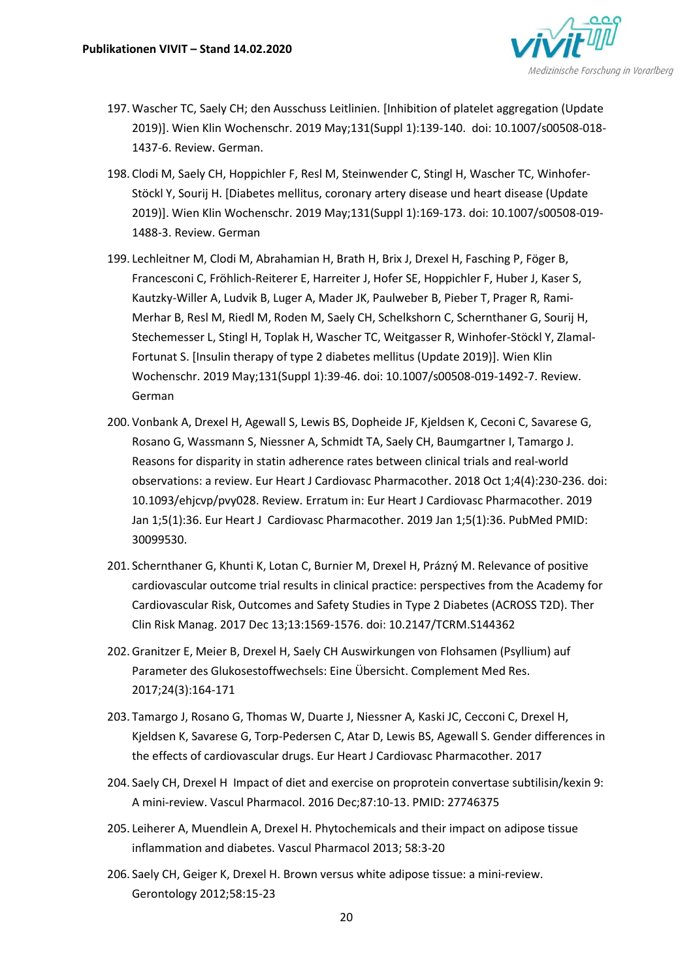

- 197. Wascher TC, Saely CH; den Ausschuss Leitlinien. [Inhibition of platelet aggregation (Update 2019)]. Wien Klin Wochenschr. 2019 May;131(Suppl 1):139-140. doi: 10.1007/s00508-018- 1437-6. Review. German.
- 198. Clodi M, Saely CH, Hoppichler F, Resl M, Steinwender C, Stingl H, Wascher TC, Winhofer-Stöckl Y, Sourij H. [Diabetes mellitus, coronary artery disease und heart disease (Update 2019)]. Wien Klin Wochenschr. 2019 May;131(Suppl 1):169-173. doi: 10.1007/s00508-019- 1488-3. Review. German
- 199. Lechleitner M, Clodi M, Abrahamian H, Brath H, Brix J, Drexel H, Fasching P, Föger B, Francesconi C, Fröhlich-Reiterer E, Harreiter J, Hofer SE, Hoppichler F, Huber J, Kaser S, Kautzky-Willer A, Ludvik B, Luger A, Mader JK, Paulweber B, Pieber T, Prager R, Rami-Merhar B, Resl M, Riedl M, Roden M, Saely CH, Schelkshorn C, Schernthaner G, Sourij H, Stechemesser L, Stingl H, Toplak H, Wascher TC, Weitgasser R, Winhofer-Stöckl Y, Zlamal-Fortunat S. [Insulin therapy of type 2 diabetes mellitus (Update 2019)]. Wien Klin Wochenschr. 2019 May;131(Suppl 1):39-46. doi: 10.1007/s00508-019-1492-7. Review. German
- 200. Vonbank A, Drexel H, Agewall S, Lewis BS, Dopheide JF, Kjeldsen K, Ceconi C, Savarese G, Rosano G, Wassmann S, Niessner A, Schmidt TA, Saely CH, Baumgartner I, Tamargo J. Reasons for disparity in statin adherence rates between clinical trials and real-world observations: a review. Eur Heart J Cardiovasc Pharmacother. 2018 Oct 1;4(4):230-236. doi: 10.1093/ehjcvp/pvy028. Review. Erratum in: Eur Heart J Cardiovasc Pharmacother. 2019 Jan 1;5(1):36. Eur Heart J Cardiovasc Pharmacother. 2019 Jan 1;5(1):36. PubMed PMID: 30099530.
- 201. Schernthaner G, Khunti K, Lotan C, Burnier M, Drexel H, Prázný M. Relevance of positive cardiovascular outcome trial results in clinical practice: perspectives from the Academy for Cardiovascular Risk, Outcomes and Safety Studies in Type 2 Diabetes (ACROSS T2D). Ther Clin Risk Manag. 2017 Dec 13;13:1569-1576. doi: 10.2147/TCRM.S144362
- 202.Granitzer E, Meier B, Drexel H, Saely CH Auswirkungen von Flohsamen (Psyllium) auf Parameter des Glukosestoffwechsels: Eine Übersicht. Complement Med Res. 2017;24(3):164-171
- 203. Tamargo J, Rosano G, Thomas W, Duarte J, Niessner A, Kaski JC, Cecconi C, Drexel H, Kjeldsen K, Savarese G, Torp-Pedersen C, Atar D, Lewis BS, Agewall S. Gender differences in the effects of cardiovascular drugs. Eur Heart J Cardiovasc Pharmacother. 2017
- 204. Saely CH, Drexel H Impact of diet and exercise on proprotein convertase subtilisin/kexin 9: A mini-review. Vascul Pharmacol. 2016 Dec;87:10-13. PMID: 27746375
- 205. Leiherer A, Muendlein A, Drexel H. Phytochemicals and their impact on adipose tissue inflammation and diabetes. Vascul Pharmacol 2013; 58:3-20
- 206. Saely CH, Geiger K, Drexel H. Brown versus white adipose tissue: a mini-review. Gerontology 2012;58:15-23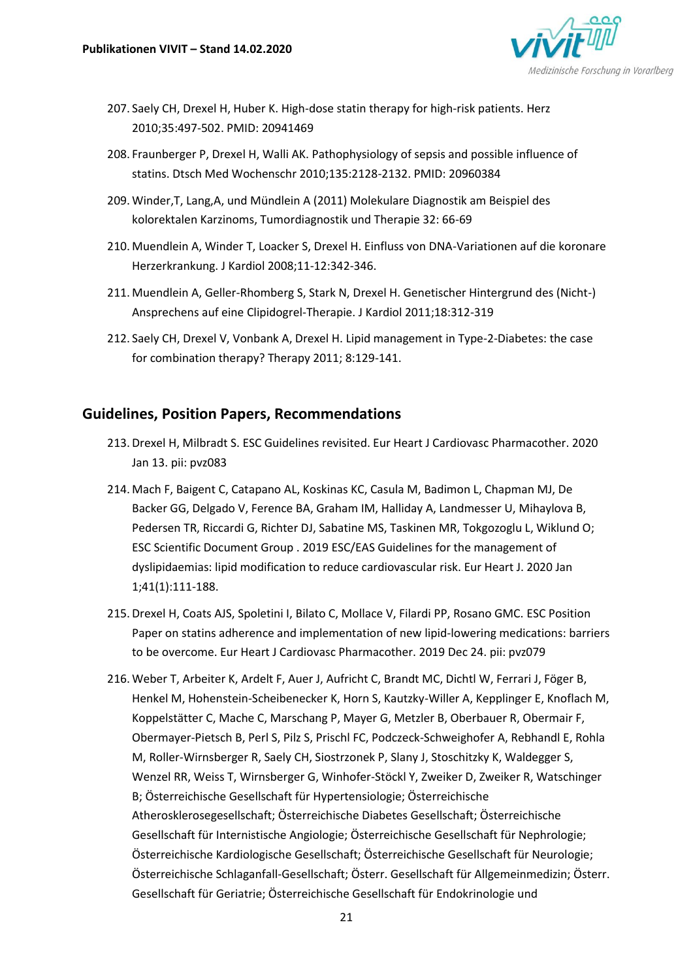

- 207. Saely CH, Drexel H, Huber K. High-dose statin therapy for high-risk patients. Herz 2010;35:497-502. PMID: 20941469
- 208. Fraunberger P, Drexel H, Walli AK. Pathophysiology of sepsis and possible influence of statins. Dtsch Med Wochenschr 2010;135:2128-2132. PMID: 20960384
- 209. Winder,T, Lang,A, und Mündlein A (2011) Molekulare Diagnostik am Beispiel des kolorektalen Karzinoms, Tumordiagnostik und Therapie 32: 66-69
- 210. Muendlein A, Winder T, Loacker S, Drexel H. Einfluss von DNA-Variationen auf die koronare Herzerkrankung. J Kardiol 2008;11-12:342-346.
- 211. Muendlein A, Geller-Rhomberg S, Stark N, Drexel H. Genetischer Hintergrund des (Nicht-) Ansprechens auf eine Clipidogrel-Therapie. J Kardiol 2011;18:312-319
- 212. Saely CH, Drexel V, Vonbank A, Drexel H. Lipid management in Type-2-Diabetes: the case for combination therapy? Therapy 2011; 8:129-141.

#### **Guidelines, Position Papers, Recommendations**

- 213.Drexel H, Milbradt S. ESC Guidelines revisited. Eur Heart J Cardiovasc Pharmacother. 2020 Jan 13. pii: pvz083
- 214. Mach F, Baigent C, Catapano AL, Koskinas KC, Casula M, Badimon L, Chapman MJ, De Backer GG, Delgado V, Ference BA, Graham IM, Halliday A, Landmesser U, Mihaylova B, Pedersen TR, Riccardi G, Richter DJ, Sabatine MS, Taskinen MR, Tokgozoglu L, Wiklund O; ESC Scientific Document Group . 2019 ESC/EAS Guidelines for the management of dyslipidaemias: lipid modification to reduce cardiovascular risk. Eur Heart J. 2020 Jan 1;41(1):111-188.
- 215.Drexel H, Coats AJS, Spoletini I, Bilato C, Mollace V, Filardi PP, Rosano GMC. ESC Position Paper on statins adherence and implementation of new lipid-lowering medications: barriers to be overcome. Eur Heart J Cardiovasc Pharmacother. 2019 Dec 24. pii: pvz079
- 216. Weber T, Arbeiter K, Ardelt F, Auer J, Aufricht C, Brandt MC, Dichtl W, Ferrari J, Föger B, Henkel M, Hohenstein-Scheibenecker K, Horn S, Kautzky-Willer A, Kepplinger E, Knoflach M, Koppelstätter C, Mache C, Marschang P, Mayer G, Metzler B, Oberbauer R, Obermair F, Obermayer-Pietsch B, Perl S, Pilz S, Prischl FC, Podczeck-Schweighofer A, Rebhandl E, Rohla M, Roller-Wirnsberger R, Saely CH, Siostrzonek P, Slany J, Stoschitzky K, Waldegger S, Wenzel RR, Weiss T, Wirnsberger G, Winhofer-Stöckl Y, Zweiker D, Zweiker R, Watschinger B; Österreichische Gesellschaft für Hypertensiologie; Österreichische Atherosklerosegesellschaft; Österreichische Diabetes Gesellschaft; Österreichische Gesellschaft für Internistische Angiologie; Österreichische Gesellschaft für Nephrologie; Österreichische Kardiologische Gesellschaft; Österreichische Gesellschaft für Neurologie; Österreichische Schlaganfall-Gesellschaft; Österr. Gesellschaft für Allgemeinmedizin; Österr. Gesellschaft für Geriatrie; Österreichische Gesellschaft für Endokrinologie und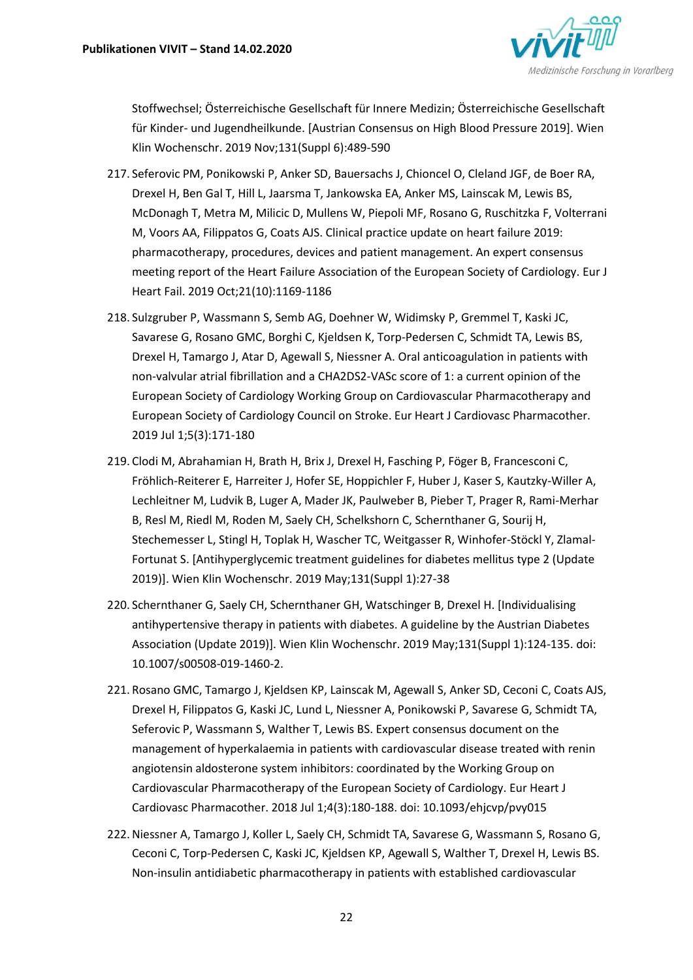

Stoffwechsel; Österreichische Gesellschaft für Innere Medizin; Österreichische Gesellschaft für Kinder- und Jugendheilkunde. [Austrian Consensus on High Blood Pressure 2019]. Wien Klin Wochenschr. 2019 Nov;131(Suppl 6):489-590

- 217. Seferovic PM, Ponikowski P, Anker SD, Bauersachs J, Chioncel O, Cleland JGF, de Boer RA, Drexel H, Ben Gal T, Hill L, Jaarsma T, Jankowska EA, Anker MS, Lainscak M, Lewis BS, McDonagh T, Metra M, Milicic D, Mullens W, Piepoli MF, Rosano G, Ruschitzka F, Volterrani M, Voors AA, Filippatos G, Coats AJS. Clinical practice update on heart failure 2019: pharmacotherapy, procedures, devices and patient management. An expert consensus meeting report of the Heart Failure Association of the European Society of Cardiology. Eur J Heart Fail. 2019 Oct;21(10):1169-1186
- 218. Sulzgruber P, Wassmann S, Semb AG, Doehner W, Widimsky P, Gremmel T, Kaski JC, Savarese G, Rosano GMC, Borghi C, Kjeldsen K, Torp-Pedersen C, Schmidt TA, Lewis BS, Drexel H, Tamargo J, Atar D, Agewall S, Niessner A. Oral anticoagulation in patients with non-valvular atrial fibrillation and a CHA2DS2-VASc score of 1: a current opinion of the European Society of Cardiology Working Group on Cardiovascular Pharmacotherapy and European Society of Cardiology Council on Stroke. Eur Heart J Cardiovasc Pharmacother. 2019 Jul 1;5(3):171-180
- 219. Clodi M, Abrahamian H, Brath H, Brix J, Drexel H, Fasching P, Föger B, Francesconi C, Fröhlich-Reiterer E, Harreiter J, Hofer SE, Hoppichler F, Huber J, Kaser S, Kautzky-Willer A, Lechleitner M, Ludvik B, Luger A, Mader JK, Paulweber B, Pieber T, Prager R, Rami-Merhar B, Resl M, Riedl M, Roden M, Saely CH, Schelkshorn C, Schernthaner G, Sourij H, Stechemesser L, Stingl H, Toplak H, Wascher TC, Weitgasser R, Winhofer-Stöckl Y, Zlamal-Fortunat S. [Antihyperglycemic treatment guidelines for diabetes mellitus type 2 (Update 2019)]. Wien Klin Wochenschr. 2019 May;131(Suppl 1):27-38
- 220. Schernthaner G, Saely CH, Schernthaner GH, Watschinger B, Drexel H. [Individualising antihypertensive therapy in patients with diabetes. A guideline by the Austrian Diabetes Association (Update 2019)]. Wien Klin Wochenschr. 2019 May;131(Suppl 1):124-135. doi: 10.1007/s00508-019-1460-2.
- 221. Rosano GMC, Tamargo J, Kjeldsen KP, Lainscak M, Agewall S, Anker SD, Ceconi C, Coats AJS, Drexel H, Filippatos G, Kaski JC, Lund L, Niessner A, Ponikowski P, Savarese G, Schmidt TA, Seferovic P, Wassmann S, Walther T, Lewis BS. Expert consensus document on the management of hyperkalaemia in patients with cardiovascular disease treated with renin angiotensin aldosterone system inhibitors: coordinated by the Working Group on Cardiovascular Pharmacotherapy of the European Society of Cardiology. Eur Heart J Cardiovasc Pharmacother. 2018 Jul 1;4(3):180-188. doi: 10.1093/ehjcvp/pvy015
- 222.Niessner A, Tamargo J, Koller L, Saely CH, Schmidt TA, Savarese G, Wassmann S, Rosano G, Ceconi C, Torp-Pedersen C, Kaski JC, Kjeldsen KP, Agewall S, Walther T, Drexel H, Lewis BS. Non-insulin antidiabetic pharmacotherapy in patients with established cardiovascular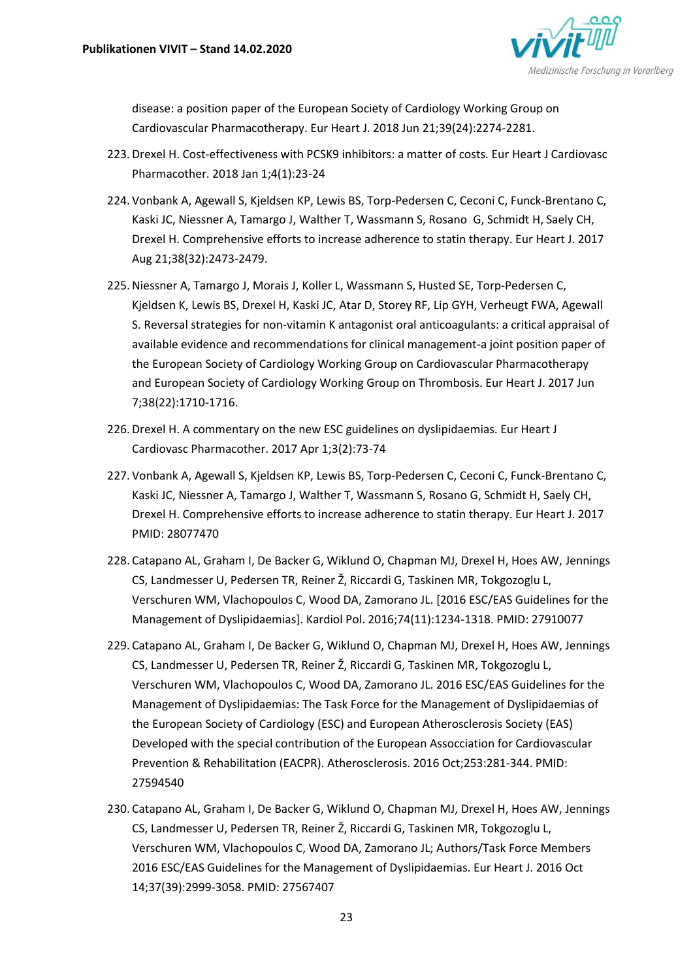

disease: a position paper of the European Society of Cardiology Working Group on Cardiovascular Pharmacotherapy. Eur Heart J. 2018 Jun 21;39(24):2274-2281.

- 223.Drexel H. Cost-effectiveness with PCSK9 inhibitors: a matter of costs. Eur Heart J Cardiovasc Pharmacother. 2018 Jan 1;4(1):23-24
- 224. Vonbank A, Agewall S, Kjeldsen KP, Lewis BS, Torp-Pedersen C, Ceconi C, Funck-Brentano C, Kaski JC, Niessner A, Tamargo J, Walther T, Wassmann S, Rosano G, Schmidt H, Saely CH, Drexel H. Comprehensive efforts to increase adherence to statin therapy. Eur Heart J. 2017 Aug 21;38(32):2473-2479.
- 225.Niessner A, Tamargo J, Morais J, Koller L, Wassmann S, Husted SE, Torp-Pedersen C, Kjeldsen K, Lewis BS, Drexel H, Kaski JC, Atar D, Storey RF, Lip GYH, Verheugt FWA, Agewall S. Reversal strategies for non-vitamin K antagonist oral anticoagulants: a critical appraisal of available evidence and recommendations for clinical management-a joint position paper of the European Society of Cardiology Working Group on Cardiovascular Pharmacotherapy and European Society of Cardiology Working Group on Thrombosis. Eur Heart J. 2017 Jun 7;38(22):1710-1716.
- 226.Drexel H. A commentary on the new ESC guidelines on dyslipidaemias. Eur Heart J Cardiovasc Pharmacother. 2017 Apr 1;3(2):73-74
- 227. Vonbank A, Agewall S, Kjeldsen KP, Lewis BS, Torp-Pedersen C, Ceconi C, Funck-Brentano C, Kaski JC, Niessner A, Tamargo J, Walther T, Wassmann S, Rosano G, Schmidt H, Saely CH, Drexel H. Comprehensive efforts to increase adherence to statin therapy. Eur Heart J. 2017 PMID: 28077470
- 228. Catapano AL, Graham I, De Backer G, Wiklund O, Chapman MJ, Drexel H, Hoes AW, Jennings CS, Landmesser U, Pedersen TR, Reiner Ž, Riccardi G, Taskinen MR, Tokgozoglu L, Verschuren WM, Vlachopoulos C, Wood DA, Zamorano JL. [2016 ESC/EAS Guidelines for the Management of Dyslipidaemias]. Kardiol Pol. 2016;74(11):1234-1318. PMID: 27910077
- 229. Catapano AL, Graham I, De Backer G, Wiklund O, Chapman MJ, Drexel H, Hoes AW, Jennings CS, Landmesser U, Pedersen TR, Reiner Ž, Riccardi G, Taskinen MR, Tokgozoglu L, Verschuren WM, Vlachopoulos C, Wood DA, Zamorano JL. 2016 ESC/EAS Guidelines for the Management of Dyslipidaemias: The Task Force for the Management of Dyslipidaemias of the European Society of Cardiology (ESC) and European Atherosclerosis Society (EAS) Developed with the special contribution of the European Assocciation for Cardiovascular Prevention & Rehabilitation (EACPR). Atherosclerosis. 2016 Oct;253:281-344. PMID: 27594540
- 230. Catapano AL, Graham I, De Backer G, Wiklund O, Chapman MJ, Drexel H, Hoes AW, Jennings CS, Landmesser U, Pedersen TR, Reiner Ž, Riccardi G, Taskinen MR, Tokgozoglu L, Verschuren WM, Vlachopoulos C, Wood DA, Zamorano JL; Authors/Task Force Members 2016 ESC/EAS Guidelines for the Management of Dyslipidaemias. Eur Heart J. 2016 Oct 14;37(39):2999-3058. PMID: 27567407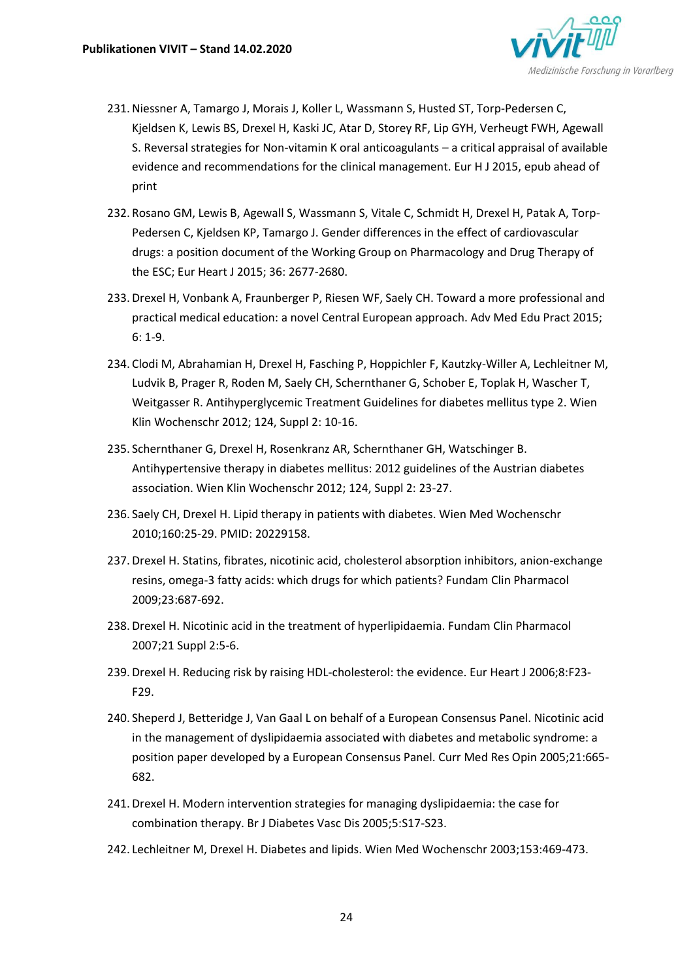

- 231.Niessner A, Tamargo J, Morais J, Koller L, Wassmann S, Husted ST, Torp-Pedersen C, Kjeldsen K, Lewis BS, Drexel H, Kaski JC, Atar D, Storey RF, Lip GYH, Verheugt FWH, Agewall S. Reversal strategies for Non-vitamin K oral anticoagulants – a critical appraisal of available evidence and recommendations for the clinical management. Eur H J 2015, epub ahead of print
- 232. Rosano GM, Lewis B, Agewall S, Wassmann S, Vitale C, Schmidt H, Drexel H, Patak A, Torp-Pedersen C, Kjeldsen KP, Tamargo J. Gender differences in the effect of cardiovascular drugs: a position document of the Working Group on Pharmacology and Drug Therapy of the ESC; Eur Heart J 2015; 36: 2677-2680.
- 233.Drexel H, Vonbank A, Fraunberger P, Riesen WF, Saely CH. Toward a more professional and practical medical education: a novel Central European approach. Adv Med Edu Pract 2015; 6: 1-9.
- 234. Clodi M, Abrahamian H, Drexel H, Fasching P, Hoppichler F, Kautzky-Willer A, Lechleitner M, Ludvik B, Prager R, Roden M, Saely CH, Schernthaner G, Schober E, Toplak H, Wascher T, Weitgasser R. Antihyperglycemic Treatment Guidelines for diabetes mellitus type 2. Wien Klin Wochenschr 2012; 124, Suppl 2: 10-16.
- 235. Schernthaner G, Drexel H, Rosenkranz AR, Schernthaner GH, Watschinger B. Antihypertensive therapy in diabetes mellitus: 2012 guidelines of the Austrian diabetes association. Wien Klin Wochenschr 2012; 124, Suppl 2: 23-27.
- 236. Saely CH, Drexel H. Lipid therapy in patients with diabetes. Wien Med Wochenschr 2010;160:25-29. PMID: 20229158.
- 237.Drexel H. Statins, fibrates, nicotinic acid, cholesterol absorption inhibitors, anion-exchange resins, omega-3 fatty acids: which drugs for which patients? Fundam Clin Pharmacol 2009;23:687-692.
- 238.Drexel H. Nicotinic acid in the treatment of hyperlipidaemia. Fundam Clin Pharmacol 2007;21 Suppl 2:5-6.
- 239.Drexel H. Reducing risk by raising HDL-cholesterol: the evidence. Eur Heart J 2006;8:F23- F29.
- 240. Sheperd J, Betteridge J, Van Gaal L on behalf of a European Consensus Panel. Nicotinic acid in the management of dyslipidaemia associated with diabetes and metabolic syndrome: a position paper developed by a European Consensus Panel. Curr Med Res Opin 2005;21:665- 682.
- 241.Drexel H. Modern intervention strategies for managing dyslipidaemia: the case for combination therapy. Br J Diabetes Vasc Dis 2005;5:S17-S23.
- 242. Lechleitner M, Drexel H. Diabetes and lipids. Wien Med Wochenschr 2003;153:469-473.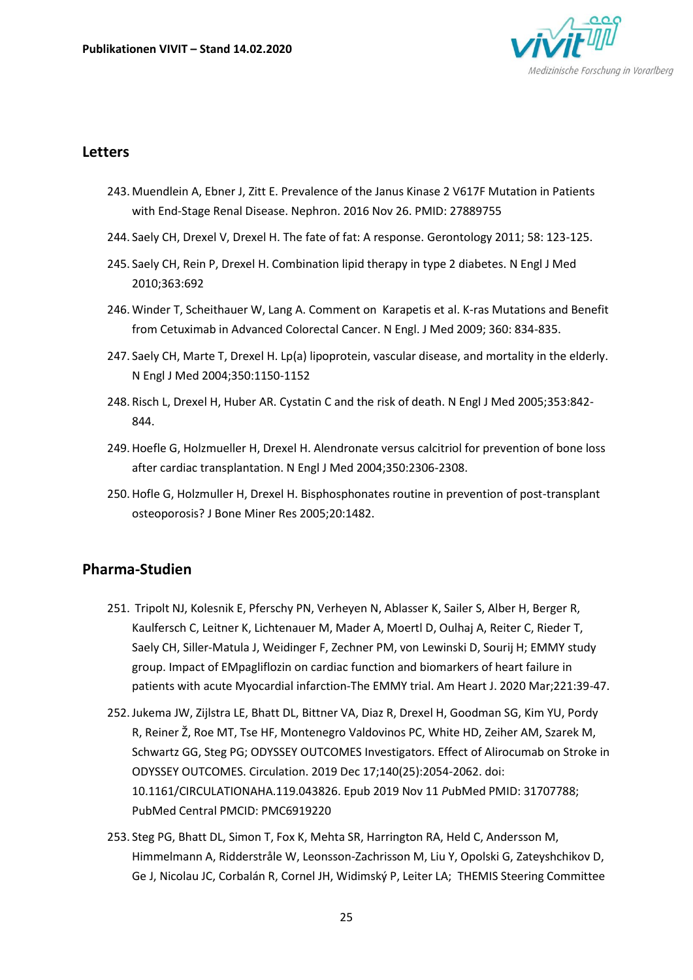

#### **Letters**

- 243. Muendlein A, Ebner J, Zitt E. Prevalence of the Janus Kinase 2 V617F Mutation in Patients with End-Stage Renal Disease. Nephron. 2016 Nov 26. PMID: 27889755
- 244. Saely CH, Drexel V, Drexel H. The fate of fat: A response. Gerontology 2011; 58: 123-125.
- 245. Saely CH, Rein P, Drexel H. Combination lipid therapy in type 2 diabetes. N Engl J Med 2010;363:692
- 246. Winder T, Scheithauer W, Lang A. Comment on Karapetis et al. K-ras Mutations and Benefit from Cetuximab in Advanced Colorectal Cancer. N Engl. J Med 2009; 360: 834-835.
- 247. Saely CH, Marte T, Drexel H. Lp(a) lipoprotein, vascular disease, and mortality in the elderly. N Engl J Med 2004;350:1150-1152
- 248. Risch L, Drexel H, Huber AR. Cystatin C and the risk of death. N Engl J Med 2005;353:842- 844.
- 249.Hoefle G, Holzmueller H, Drexel H. Alendronate versus calcitriol for prevention of bone loss after cardiac transplantation. N Engl J Med 2004;350:2306-2308.
- 250.Hofle G, Holzmuller H, Drexel H. Bisphosphonates routine in prevention of post-transplant osteoporosis? J Bone Miner Res 2005;20:1482.

### **Pharma-Studien**

- 251. Tripolt NJ, Kolesnik E, Pferschy PN, Verheyen N, Ablasser K, Sailer S, Alber H, Berger R, Kaulfersch C, Leitner K, Lichtenauer M, Mader A, Moertl D, Oulhaj A, Reiter C, Rieder T, Saely CH, Siller-Matula J, Weidinger F, Zechner PM, von Lewinski D, Sourij H; EMMY study group. Impact of EMpagliflozin on cardiac function and biomarkers of heart failure in patients with acute Myocardial infarction-The EMMY trial. Am Heart J. 2020 Mar;221:39-47.
- 252.Jukema JW, Zijlstra LE, Bhatt DL, Bittner VA, Diaz R, Drexel H, Goodman SG, Kim YU, Pordy R, Reiner Ž, Roe MT, Tse HF, Montenegro Valdovinos PC, White HD, Zeiher AM, Szarek M, Schwartz GG, Steg PG; ODYSSEY OUTCOMES Investigators. Effect of Alirocumab on Stroke in ODYSSEY OUTCOMES. Circulation. 2019 Dec 17;140(25):2054-2062. doi: 10.1161/CIRCULATIONAHA.119.043826. Epub 2019 Nov 11 *P*ubMed PMID: 31707788; PubMed Central PMCID: PMC6919220
- 253. Steg PG, Bhatt DL, Simon T, Fox K, Mehta SR, Harrington RA, Held C, Andersson M, Himmelmann A, Ridderstråle W, Leonsson-Zachrisson M, Liu Y, Opolski G, Zateyshchikov D, Ge J, Nicolau JC, Corbalán R, Cornel JH, Widimský P, Leiter LA; THEMIS Steering Committee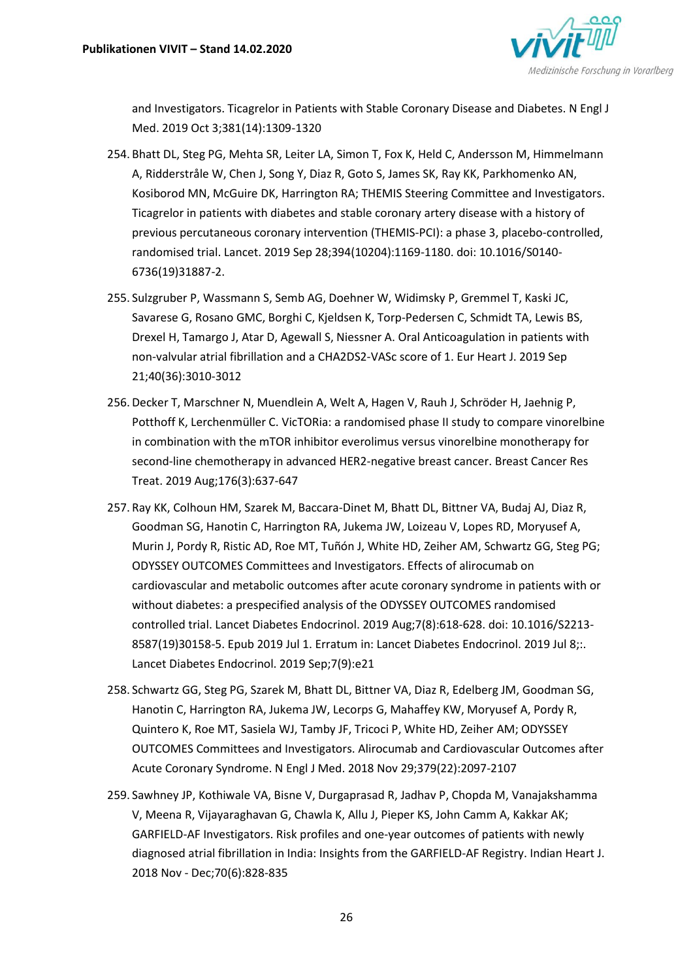

and Investigators. Ticagrelor in Patients with Stable Coronary Disease and Diabetes. N Engl J Med. 2019 Oct 3;381(14):1309-1320

- 254. Bhatt DL, Steg PG, Mehta SR, Leiter LA, Simon T, Fox K, Held C, Andersson M, Himmelmann A, Ridderstråle W, Chen J, Song Y, Diaz R, Goto S, James SK, Ray KK, Parkhomenko AN, Kosiborod MN, McGuire DK, Harrington RA; THEMIS Steering Committee and Investigators. Ticagrelor in patients with diabetes and stable coronary artery disease with a history of previous percutaneous coronary intervention (THEMIS-PCI): a phase 3, placebo-controlled, randomised trial. Lancet. 2019 Sep 28;394(10204):1169-1180. doi: 10.1016/S0140- 6736(19)31887-2.
- 255. Sulzgruber P, Wassmann S, Semb AG, Doehner W, Widimsky P, Gremmel T, Kaski JC, Savarese G, Rosano GMC, Borghi C, Kjeldsen K, Torp-Pedersen C, Schmidt TA, Lewis BS, Drexel H, Tamargo J, Atar D, Agewall S, Niessner A. Oral Anticoagulation in patients with non-valvular atrial fibrillation and a CHA2DS2-VASc score of 1. Eur Heart J. 2019 Sep 21;40(36):3010-3012
- 256.Decker T, Marschner N, Muendlein A, Welt A, Hagen V, Rauh J, Schröder H, Jaehnig P, Potthoff K, Lerchenmüller C. VicTORia: a randomised phase II study to compare vinorelbine in combination with the mTOR inhibitor everolimus versus vinorelbine monotherapy for second-line chemotherapy in advanced HER2-negative breast cancer. Breast Cancer Res Treat. 2019 Aug;176(3):637-647
- 257. Ray KK, Colhoun HM, Szarek M, Baccara-Dinet M, Bhatt DL, Bittner VA, Budaj AJ, Diaz R, Goodman SG, Hanotin C, Harrington RA, Jukema JW, Loizeau V, Lopes RD, Moryusef A, Murin J, Pordy R, Ristic AD, Roe MT, Tuñón J, White HD, Zeiher AM, Schwartz GG, Steg PG; ODYSSEY OUTCOMES Committees and Investigators. Effects of alirocumab on cardiovascular and metabolic outcomes after acute coronary syndrome in patients with or without diabetes: a prespecified analysis of the ODYSSEY OUTCOMES randomised controlled trial. Lancet Diabetes Endocrinol. 2019 Aug;7(8):618-628. doi: 10.1016/S2213- 8587(19)30158-5. Epub 2019 Jul 1. Erratum in: Lancet Diabetes Endocrinol. 2019 Jul 8;:. Lancet Diabetes Endocrinol. 2019 Sep;7(9):e21
- 258. Schwartz GG, Steg PG, Szarek M, Bhatt DL, Bittner VA, Diaz R, Edelberg JM, Goodman SG, Hanotin C, Harrington RA, Jukema JW, Lecorps G, Mahaffey KW, Moryusef A, Pordy R, Quintero K, Roe MT, Sasiela WJ, Tamby JF, Tricoci P, White HD, Zeiher AM; ODYSSEY OUTCOMES Committees and Investigators. Alirocumab and Cardiovascular Outcomes after Acute Coronary Syndrome. N Engl J Med. 2018 Nov 29;379(22):2097-2107
- 259. Sawhney JP, Kothiwale VA, Bisne V, Durgaprasad R, Jadhav P, Chopda M, Vanajakshamma V, Meena R, Vijayaraghavan G, Chawla K, Allu J, Pieper KS, John Camm A, Kakkar AK; GARFIELD-AF Investigators. Risk profiles and one-year outcomes of patients with newly diagnosed atrial fibrillation in India: Insights from the GARFIELD-AF Registry. Indian Heart J. 2018 Nov - Dec;70(6):828-835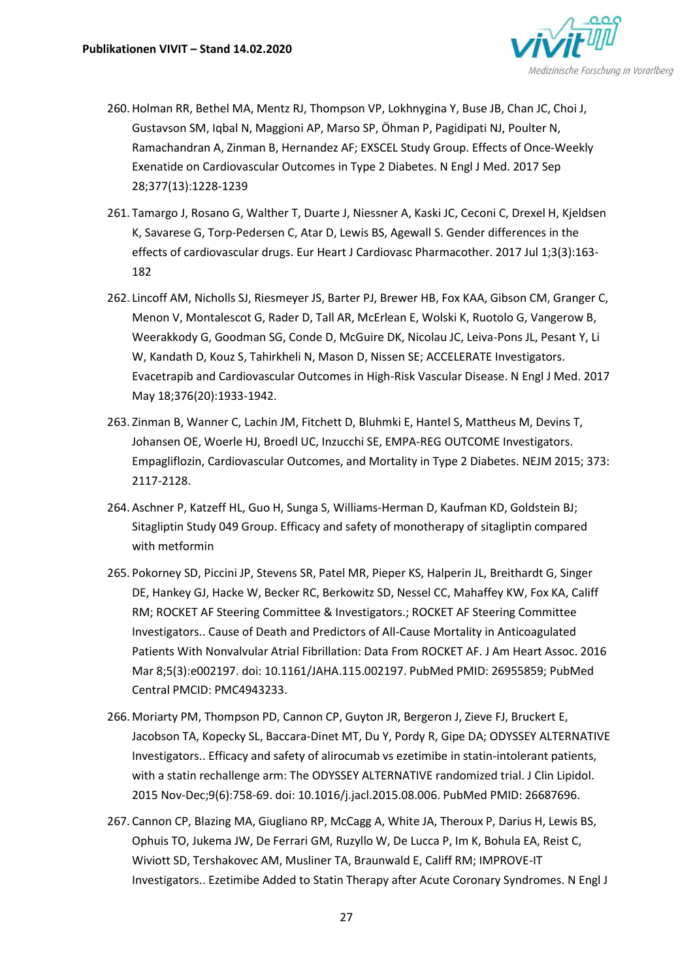

- 260.Holman RR, Bethel MA, Mentz RJ, Thompson VP, Lokhnygina Y, Buse JB, Chan JC, Choi J, Gustavson SM, Iqbal N, Maggioni AP, Marso SP, Öhman P, Pagidipati NJ, Poulter N, Ramachandran A, Zinman B, Hernandez AF; EXSCEL Study Group. Effects of Once-Weekly Exenatide on Cardiovascular Outcomes in Type 2 Diabetes. N Engl J Med. 2017 Sep 28;377(13):1228-1239
- 261. Tamargo J, Rosano G, Walther T, Duarte J, Niessner A, Kaski JC, Ceconi C, Drexel H, Kjeldsen K, Savarese G, Torp-Pedersen C, Atar D, Lewis BS, Agewall S. Gender differences in the effects of cardiovascular drugs. Eur Heart J Cardiovasc Pharmacother. 2017 Jul 1;3(3):163- 182
- 262. Lincoff AM, Nicholls SJ, Riesmeyer JS, Barter PJ, Brewer HB, Fox KAA, Gibson CM, Granger C, Menon V, Montalescot G, Rader D, Tall AR, McErlean E, Wolski K, Ruotolo G, Vangerow B, Weerakkody G, Goodman SG, Conde D, McGuire DK, Nicolau JC, Leiva-Pons JL, Pesant Y, Li W, Kandath D, Kouz S, Tahirkheli N, Mason D, Nissen SE; ACCELERATE Investigators. [Evacetrapib and Cardiovascular Outcomes in High-Risk Vascular Disease.](https://www.ncbi.nlm.nih.gov/pubmed/28514624) N Engl J Med. 2017 May 18;376(20):1933-1942.
- 263. Zinman B, Wanner C, Lachin JM, Fitchett D, Bluhmki E, Hantel S, Mattheus M, Devins T, Johansen OE, Woerle HJ, Broedl UC, Inzucchi SE, EMPA-REG OUTCOME Investigators. Empagliflozin, Cardiovascular Outcomes, and Mortality in Type 2 Diabetes. NEJM 2015; 373: 2117-2128.
- 264. Aschner P, Katzeff HL, Guo H, Sunga S, Williams-Herman D, Kaufman KD, Goldstein BJ; Sitagliptin Study 049 Group. Efficacy and safety of monotherapy of sitagliptin compared with metformin
- 265. Pokorney SD, Piccini JP, Stevens SR, Patel MR, Pieper KS, Halperin JL, Breithardt G, Singer DE, Hankey GJ, Hacke W, Becker RC, Berkowitz SD, Nessel CC, Mahaffey KW, Fox KA, Califf RM; ROCKET AF Steering Committee & Investigators.; ROCKET AF Steering Committee Investigators.. Cause of Death and Predictors of All-Cause Mortality in Anticoagulated Patients With Nonvalvular Atrial Fibrillation: Data From ROCKET AF. J Am Heart Assoc. 2016 Mar 8;5(3):e002197. doi: 10.1161/JAHA.115.002197. PubMed PMID: 26955859; PubMed Central PMCID: PMC4943233.
- 266. Moriarty PM, Thompson PD, Cannon CP, Guyton JR, Bergeron J, Zieve FJ, Bruckert E, Jacobson TA, Kopecky SL, Baccara-Dinet MT, Du Y, Pordy R, Gipe DA; ODYSSEY ALTERNATIVE Investigators.. Efficacy and safety of alirocumab vs ezetimibe in statin-intolerant patients, with a statin rechallenge arm: The ODYSSEY ALTERNATIVE randomized trial. J Clin Lipidol. 2015 Nov-Dec;9(6):758-69. doi: 10.1016/j.jacl.2015.08.006. PubMed PMID: 26687696.
- 267. Cannon CP, Blazing MA, Giugliano RP, McCagg A, White JA, Theroux P, Darius H, Lewis BS, Ophuis TO, Jukema JW, De Ferrari GM, Ruzyllo W, De Lucca P, Im K, Bohula EA, Reist C, Wiviott SD, Tershakovec AM, Musliner TA, Braunwald E, Califf RM; IMPROVE-IT Investigators.. Ezetimibe Added to Statin Therapy after Acute Coronary Syndromes. N Engl J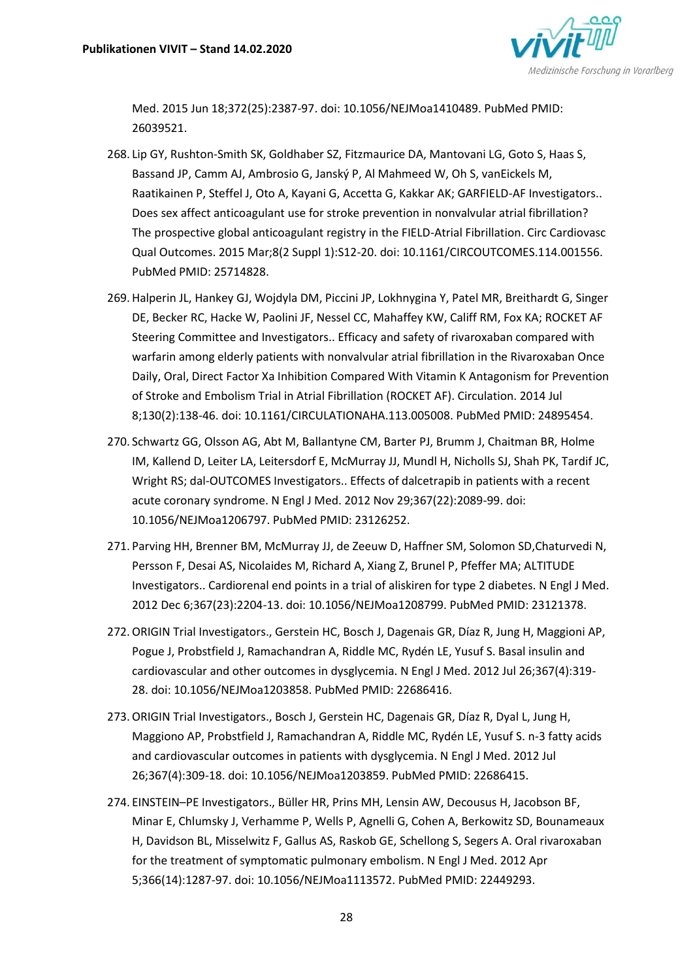

Med. 2015 Jun 18;372(25):2387-97. doi: 10.1056/NEJMoa1410489. PubMed PMID: 26039521.

- 268. Lip GY, Rushton-Smith SK, Goldhaber SZ, Fitzmaurice DA, Mantovani LG, Goto S, Haas S, Bassand JP, Camm AJ, Ambrosio G, Janský P, Al Mahmeed W, Oh S, vanEickels M, Raatikainen P, Steffel J, Oto A, Kayani G, Accetta G, Kakkar AK; GARFIELD-AF Investigators.. Does sex affect anticoagulant use for stroke prevention in nonvalvular atrial fibrillation? The prospective global anticoagulant registry in the FIELD-Atrial Fibrillation. Circ Cardiovasc Qual Outcomes. 2015 Mar;8(2 Suppl 1):S12-20. doi: 10.1161/CIRCOUTCOMES.114.001556. PubMed PMID: 25714828.
- 269.Halperin JL, Hankey GJ, Wojdyla DM, Piccini JP, Lokhnygina Y, Patel MR, Breithardt G, Singer DE, Becker RC, Hacke W, Paolini JF, Nessel CC, Mahaffey KW, Califf RM, Fox KA; ROCKET AF Steering Committee and Investigators.. Efficacy and safety of rivaroxaban compared with warfarin among elderly patients with nonvalvular atrial fibrillation in the Rivaroxaban Once Daily, Oral, Direct Factor Xa Inhibition Compared With Vitamin K Antagonism for Prevention of Stroke and Embolism Trial in Atrial Fibrillation (ROCKET AF). Circulation. 2014 Jul 8;130(2):138-46. doi: 10.1161/CIRCULATIONAHA.113.005008. PubMed PMID: 24895454.
- 270. Schwartz GG, Olsson AG, Abt M, Ballantyne CM, Barter PJ, Brumm J, Chaitman BR, Holme IM, Kallend D, Leiter LA, Leitersdorf E, McMurray JJ, Mundl H, Nicholls SJ, Shah PK, Tardif JC, Wright RS; dal-OUTCOMES Investigators.. Effects of dalcetrapib in patients with a recent acute coronary syndrome. N Engl J Med. 2012 Nov 29;367(22):2089-99. doi: 10.1056/NEJMoa1206797. PubMed PMID: 23126252.
- 271. Parving HH, Brenner BM, McMurray JJ, de Zeeuw D, Haffner SM, Solomon SD,Chaturvedi N, Persson F, Desai AS, Nicolaides M, Richard A, Xiang Z, Brunel P, Pfeffer MA; ALTITUDE Investigators.. Cardiorenal end points in a trial of aliskiren for type 2 diabetes. N Engl J Med. 2012 Dec 6;367(23):2204-13. doi: 10.1056/NEJMoa1208799. PubMed PMID: 23121378.
- 272.ORIGIN Trial Investigators., Gerstein HC, Bosch J, Dagenais GR, Díaz R, Jung H, Maggioni AP, Pogue J, Probstfield J, Ramachandran A, Riddle MC, Rydén LE, Yusuf S. Basal insulin and cardiovascular and other outcomes in dysglycemia. N Engl J Med. 2012 Jul 26;367(4):319- 28. doi: 10.1056/NEJMoa1203858. PubMed PMID: 22686416.
- 273.ORIGIN Trial Investigators., Bosch J, Gerstein HC, Dagenais GR, Díaz R, Dyal L, Jung H, Maggiono AP, Probstfield J, Ramachandran A, Riddle MC, Rydén LE, Yusuf S. n-3 fatty acids and cardiovascular outcomes in patients with dysglycemia. N Engl J Med. 2012 Jul 26;367(4):309-18. doi: 10.1056/NEJMoa1203859. PubMed PMID: 22686415.
- 274. EINSTEIN–PE Investigators., Büller HR, Prins MH, Lensin AW, Decousus H, Jacobson BF, Minar E, Chlumsky J, Verhamme P, Wells P, Agnelli G, Cohen A, Berkowitz SD, Bounameaux H, Davidson BL, Misselwitz F, Gallus AS, Raskob GE, Schellong S, Segers A. Oral rivaroxaban for the treatment of symptomatic pulmonary embolism. N Engl J Med. 2012 Apr 5;366(14):1287-97. doi: 10.1056/NEJMoa1113572. PubMed PMID: 22449293.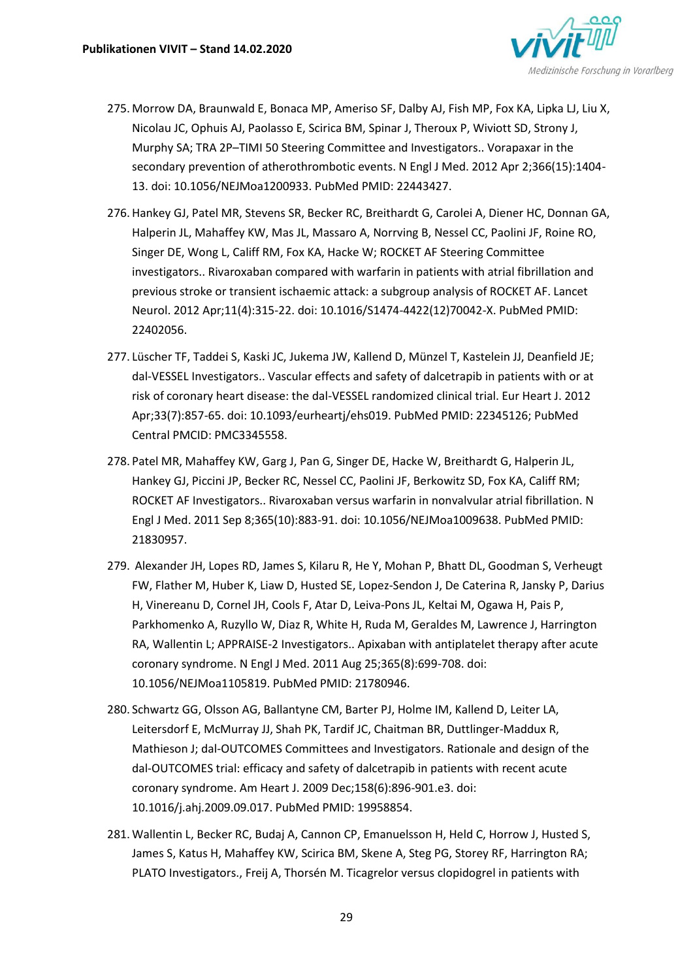

- 275. Morrow DA, Braunwald E, Bonaca MP, Ameriso SF, Dalby AJ, Fish MP, Fox KA, Lipka LJ, Liu X, Nicolau JC, Ophuis AJ, Paolasso E, Scirica BM, Spinar J, Theroux P, Wiviott SD, Strony J, Murphy SA; TRA 2P–TIMI 50 Steering Committee and Investigators.. Vorapaxar in the secondary prevention of atherothrombotic events. N Engl J Med. 2012 Apr 2;366(15):1404- 13. doi: 10.1056/NEJMoa1200933. PubMed PMID: 22443427.
- 276.Hankey GJ, Patel MR, Stevens SR, Becker RC, Breithardt G, Carolei A, Diener HC, Donnan GA, Halperin JL, Mahaffey KW, Mas JL, Massaro A, Norrving B, Nessel CC, Paolini JF, Roine RO, Singer DE, Wong L, Califf RM, Fox KA, Hacke W; ROCKET AF Steering Committee investigators.. Rivaroxaban compared with warfarin in patients with atrial fibrillation and previous stroke or transient ischaemic attack: a subgroup analysis of ROCKET AF. Lancet Neurol. 2012 Apr;11(4):315-22. doi: 10.1016/S1474-4422(12)70042-X. PubMed PMID: 22402056.
- 277. Lüscher TF, Taddei S, Kaski JC, Jukema JW, Kallend D, Münzel T, Kastelein JJ, Deanfield JE; dal-VESSEL Investigators.. Vascular effects and safety of dalcetrapib in patients with or at risk of coronary heart disease: the dal-VESSEL randomized clinical trial. Eur Heart J. 2012 Apr;33(7):857-65. doi: 10.1093/eurheartj/ehs019. PubMed PMID: 22345126; PubMed Central PMCID: PMC3345558.
- 278. Patel MR, Mahaffey KW, Garg J, Pan G, Singer DE, Hacke W, Breithardt G, Halperin JL, Hankey GJ, Piccini JP, Becker RC, Nessel CC, Paolini JF, Berkowitz SD, Fox KA, Califf RM; ROCKET AF Investigators.. Rivaroxaban versus warfarin in nonvalvular atrial fibrillation. N Engl J Med. 2011 Sep 8;365(10):883-91. doi: 10.1056/NEJMoa1009638. PubMed PMID: 21830957.
- 279. Alexander JH, Lopes RD, James S, Kilaru R, He Y, Mohan P, Bhatt DL, Goodman S, Verheugt FW, Flather M, Huber K, Liaw D, Husted SE, Lopez-Sendon J, De Caterina R, Jansky P, Darius H, Vinereanu D, Cornel JH, Cools F, Atar D, Leiva-Pons JL, Keltai M, Ogawa H, Pais P, Parkhomenko A, Ruzyllo W, Diaz R, White H, Ruda M, Geraldes M, Lawrence J, Harrington RA, Wallentin L; APPRAISE-2 Investigators.. Apixaban with antiplatelet therapy after acute coronary syndrome. N Engl J Med. 2011 Aug 25;365(8):699-708. doi: 10.1056/NEJMoa1105819. PubMed PMID: 21780946.
- 280. Schwartz GG, Olsson AG, Ballantyne CM, Barter PJ, Holme IM, Kallend D, Leiter LA, Leitersdorf E, McMurray JJ, Shah PK, Tardif JC, Chaitman BR, Duttlinger-Maddux R, Mathieson J; dal-OUTCOMES Committees and Investigators. Rationale and design of the dal-OUTCOMES trial: efficacy and safety of dalcetrapib in patients with recent acute coronary syndrome. Am Heart J. 2009 Dec;158(6):896-901.e3. doi: 10.1016/j.ahj.2009.09.017. PubMed PMID: 19958854.
- 281. Wallentin L, Becker RC, Budaj A, Cannon CP, Emanuelsson H, Held C, Horrow J, Husted S, James S, Katus H, Mahaffey KW, Scirica BM, Skene A, Steg PG, Storey RF, Harrington RA; PLATO Investigators., Freij A, Thorsén M. Ticagrelor versus clopidogrel in patients with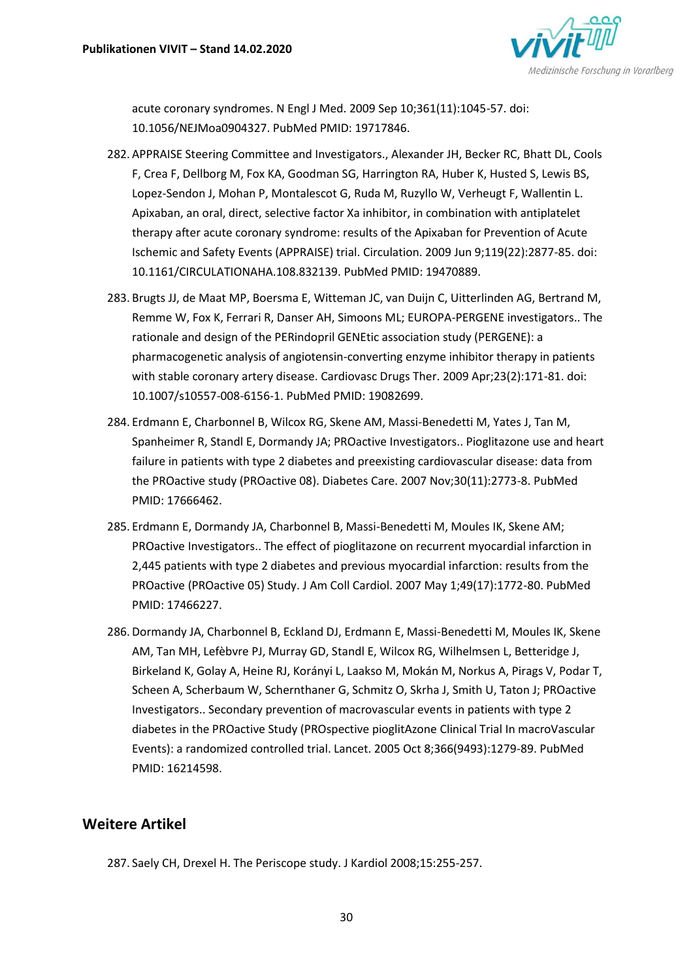

acute coronary syndromes. N Engl J Med. 2009 Sep 10;361(11):1045-57. doi: 10.1056/NEJMoa0904327. PubMed PMID: 19717846.

- 282. APPRAISE Steering Committee and Investigators., Alexander JH, Becker RC, Bhatt DL, Cools F, Crea F, Dellborg M, Fox KA, Goodman SG, Harrington RA, Huber K, Husted S, Lewis BS, Lopez-Sendon J, Mohan P, Montalescot G, Ruda M, Ruzyllo W, Verheugt F, Wallentin L. Apixaban, an oral, direct, selective factor Xa inhibitor, in combination with antiplatelet therapy after acute coronary syndrome: results of the Apixaban for Prevention of Acute Ischemic and Safety Events (APPRAISE) trial. Circulation. 2009 Jun 9;119(22):2877-85. doi: 10.1161/CIRCULATIONAHA.108.832139. PubMed PMID: 19470889.
- 283. Brugts JJ, de Maat MP, Boersma E, Witteman JC, van Duijn C, Uitterlinden AG, Bertrand M, Remme W, Fox K, Ferrari R, Danser AH, Simoons ML; EUROPA-PERGENE investigators.. The rationale and design of the PERindopril GENEtic association study (PERGENE): a pharmacogenetic analysis of angiotensin-converting enzyme inhibitor therapy in patients with stable coronary artery disease. Cardiovasc Drugs Ther. 2009 Apr;23(2):171-81. doi: 10.1007/s10557-008-6156-1. PubMed PMID: 19082699.
- 284. Erdmann E, Charbonnel B, Wilcox RG, Skene AM, Massi-Benedetti M, Yates J, Tan M, Spanheimer R, Standl E, Dormandy JA; PROactive Investigators.. Pioglitazone use and heart failure in patients with type 2 diabetes and preexisting cardiovascular disease: data from the PROactive study (PROactive 08). Diabetes Care. 2007 Nov;30(11):2773-8. PubMed PMID: 17666462.
- 285. Erdmann E, Dormandy JA, Charbonnel B, Massi-Benedetti M, Moules IK, Skene AM; PROactive Investigators.. The effect of pioglitazone on recurrent myocardial infarction in 2,445 patients with type 2 diabetes and previous myocardial infarction: results from the PROactive (PROactive 05) Study. J Am Coll Cardiol. 2007 May 1;49(17):1772-80. PubMed PMID: 17466227.
- 286.Dormandy JA, Charbonnel B, Eckland DJ, Erdmann E, Massi-Benedetti M, Moules IK, Skene AM, Tan MH, Lefèbvre PJ, Murray GD, Standl E, Wilcox RG, Wilhelmsen L, Betteridge J, Birkeland K, Golay A, Heine RJ, Korányi L, Laakso M, Mokán M, Norkus A, Pirags V, Podar T, Scheen A, Scherbaum W, Schernthaner G, Schmitz O, Skrha J, Smith U, Taton J; PROactive Investigators.. Secondary prevention of macrovascular events in patients with type 2 diabetes in the PROactive Study (PROspective pioglitAzone Clinical Trial In macroVascular Events): a randomized controlled trial. Lancet. 2005 Oct 8;366(9493):1279-89. PubMed PMID: 16214598.

## **Weitere Artikel**

287. Saely CH, Drexel H. The Periscope study. J Kardiol 2008;15:255-257.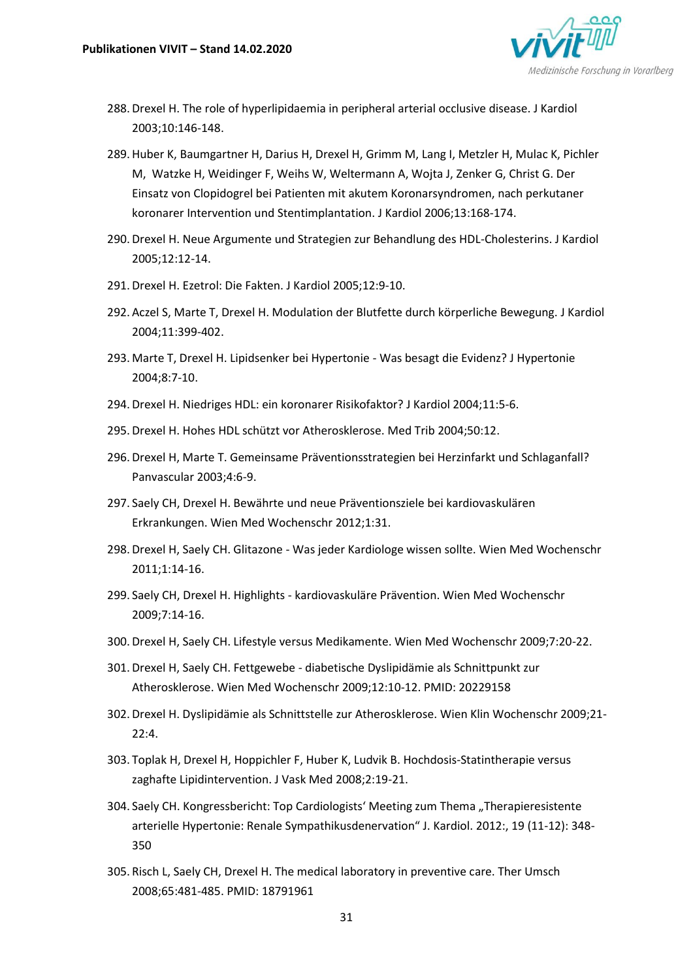

- 288.Drexel H. The role of hyperlipidaemia in peripheral arterial occlusive disease. J Kardiol 2003;10:146-148.
- 289.Huber K, Baumgartner H, Darius H, Drexel H, Grimm M, Lang I, Metzler H, Mulac K, Pichler M, Watzke H, Weidinger F, Weihs W, Weltermann A, Wojta J, Zenker G, Christ G. Der Einsatz von Clopidogrel bei Patienten mit akutem Koronarsyndromen, nach perkutaner koronarer Intervention und Stentimplantation. J Kardiol 2006;13:168-174.
- 290.Drexel H. Neue Argumente und Strategien zur Behandlung des HDL-Cholesterins. J Kardiol 2005;12:12-14.
- 291.Drexel H. Ezetrol: Die Fakten. J Kardiol 2005;12:9-10.
- 292. Aczel S, Marte T, Drexel H. Modulation der Blutfette durch körperliche Bewegung. J Kardiol 2004;11:399-402.
- 293. Marte T, Drexel H. Lipidsenker bei Hypertonie Was besagt die Evidenz? J Hypertonie 2004;8:7-10.
- 294.Drexel H. Niedriges HDL: ein koronarer Risikofaktor? J Kardiol 2004;11:5-6.
- 295.Drexel H. Hohes HDL schützt vor Atherosklerose. Med Trib 2004;50:12.
- 296.Drexel H, Marte T. Gemeinsame Präventionsstrategien bei Herzinfarkt und Schlaganfall? Panvascular 2003;4:6-9.
- 297. Saely CH, Drexel H. Bewährte und neue Präventionsziele bei kardiovaskulären Erkrankungen. Wien Med Wochenschr 2012;1:31.
- 298.Drexel H, Saely CH. Glitazone Was jeder Kardiologe wissen sollte. Wien Med Wochenschr 2011;1:14-16.
- 299. Saely CH, Drexel H. Highlights kardiovaskuläre Prävention. Wien Med Wochenschr 2009;7:14-16.
- 300.Drexel H, Saely CH. Lifestyle versus Medikamente. Wien Med Wochenschr 2009;7:20-22.
- 301.Drexel H, Saely CH. Fettgewebe diabetische Dyslipidämie als Schnittpunkt zur Atherosklerose. Wien Med Wochenschr 2009;12:10-12. PMID: 20229158
- 302.Drexel H. Dyslipidämie als Schnittstelle zur Atherosklerose. Wien Klin Wochenschr 2009;21- 22:4.
- 303. Toplak H, Drexel H, Hoppichler F, Huber K, Ludvik B. Hochdosis-Statintherapie versus zaghafte Lipidintervention. J Vask Med 2008;2:19-21.
- 304. Saely CH. Kongressbericht: Top Cardiologists' Meeting zum Thema "Therapieresistente arterielle Hypertonie: Renale Sympathikusdenervation" J. Kardiol. 2012:, 19 (11-12): 348- 350
- 305. Risch L, Saely CH, Drexel H. The medical laboratory in preventive care. Ther Umsch 2008;65:481-485. PMID: 18791961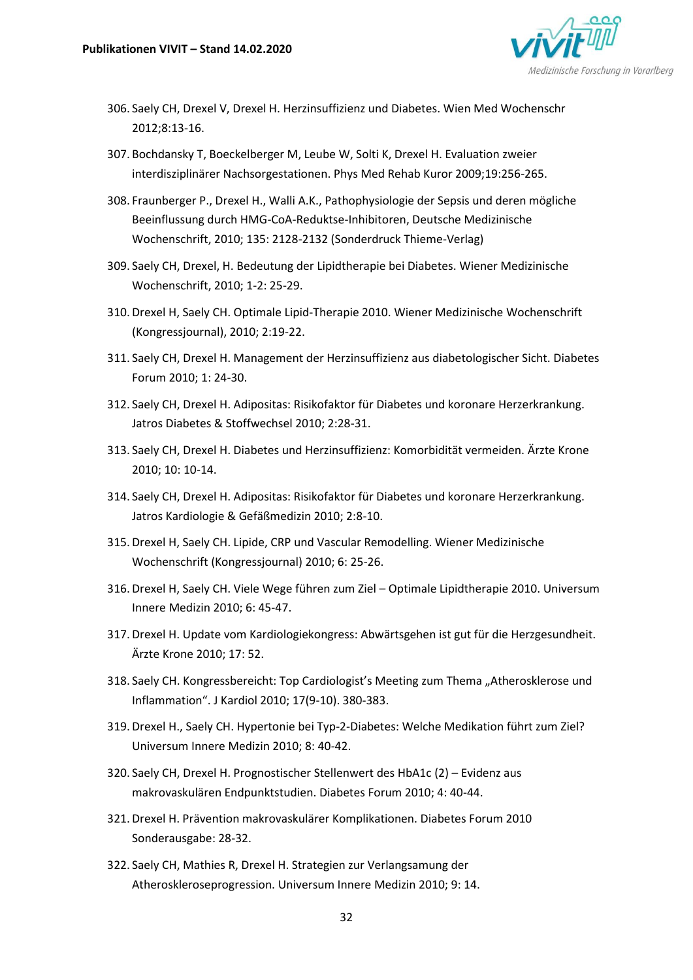

- 306. Saely CH, Drexel V, Drexel H. Herzinsuffizienz und Diabetes. Wien Med Wochenschr 2012;8:13-16.
- 307. Bochdansky T, Boeckelberger M, Leube W, Solti K, Drexel H. Evaluation zweier interdisziplinärer Nachsorgestationen. Phys Med Rehab Kuror 2009;19:256-265.
- 308. Fraunberger P., Drexel H., Walli A.K., Pathophysiologie der Sepsis und deren mögliche Beeinflussung durch HMG-CoA-Reduktse-Inhibitoren, Deutsche Medizinische Wochenschrift, 2010; 135: 2128-2132 (Sonderdruck Thieme-Verlag)
- 309. Saely CH, Drexel, H. Bedeutung der Lipidtherapie bei Diabetes. Wiener Medizinische Wochenschrift, 2010; 1-2: 25-29.
- 310.Drexel H, Saely CH. Optimale Lipid-Therapie 2010. Wiener Medizinische Wochenschrift (Kongressjournal), 2010; 2:19-22.
- 311. Saely CH, Drexel H. Management der Herzinsuffizienz aus diabetologischer Sicht. Diabetes Forum 2010; 1: 24-30.
- 312. Saely CH, Drexel H. Adipositas: Risikofaktor für Diabetes und koronare Herzerkrankung. Jatros Diabetes & Stoffwechsel 2010; 2:28-31.
- 313. Saely CH, Drexel H. Diabetes und Herzinsuffizienz: Komorbidität vermeiden. Ärzte Krone 2010; 10: 10-14.
- 314. Saely CH, Drexel H. Adipositas: Risikofaktor für Diabetes und koronare Herzerkrankung. Jatros Kardiologie & Gefäßmedizin 2010; 2:8-10.
- 315.Drexel H, Saely CH. Lipide, CRP und Vascular Remodelling. Wiener Medizinische Wochenschrift (Kongressjournal) 2010; 6: 25-26.
- 316.Drexel H, Saely CH. Viele Wege führen zum Ziel Optimale Lipidtherapie 2010. Universum Innere Medizin 2010; 6: 45-47.
- 317.Drexel H. Update vom Kardiologiekongress: Abwärtsgehen ist gut für die Herzgesundheit. Ärzte Krone 2010; 17: 52.
- 318. Saely CH. Kongressbereicht: Top Cardiologist's Meeting zum Thema "Atherosklerose und Inflammation". J Kardiol 2010; 17(9-10). 380-383.
- 319.Drexel H., Saely CH. Hypertonie bei Typ-2-Diabetes: Welche Medikation führt zum Ziel? Universum Innere Medizin 2010; 8: 40-42.
- 320. Saely CH, Drexel H. Prognostischer Stellenwert des HbA1c (2) Evidenz aus makrovaskulären Endpunktstudien. Diabetes Forum 2010; 4: 40-44.
- 321.Drexel H. Prävention makrovaskulärer Komplikationen. Diabetes Forum 2010 Sonderausgabe: 28-32.
- 322. Saely CH, Mathies R, Drexel H. Strategien zur Verlangsamung der Atheroskleroseprogression. Universum Innere Medizin 2010; 9: 14.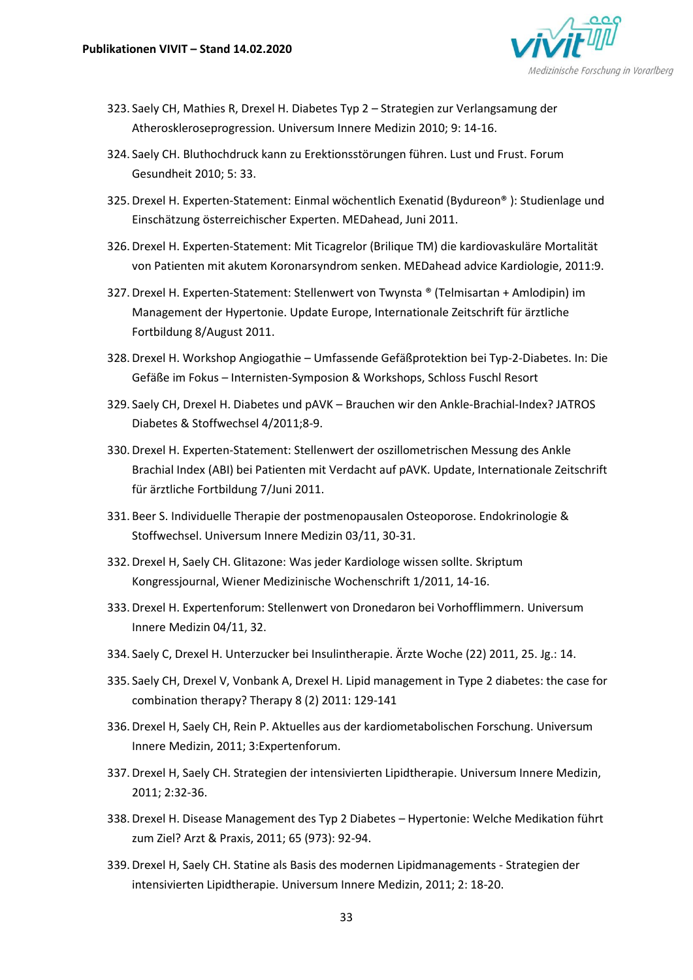

- 323. Saely CH, Mathies R, Drexel H. Diabetes Typ 2 Strategien zur Verlangsamung der Atheroskleroseprogression. Universum Innere Medizin 2010; 9: 14-16.
- 324. Saely CH. Bluthochdruck kann zu Erektionsstörungen führen. Lust und Frust. Forum Gesundheit 2010; 5: 33.
- 325.Drexel H. Experten-Statement: Einmal wöchentlich Exenatid (Bydureon® ): Studienlage und Einschätzung österreichischer Experten. MEDahead, Juni 2011.
- 326.Drexel H. Experten-Statement: Mit Ticagrelor (Brilique TM) die kardiovaskuläre Mortalität von Patienten mit akutem Koronarsyndrom senken. MEDahead advice Kardiologie, 2011:9.
- 327.Drexel H. Experten-Statement: Stellenwert von Twynsta ® (Telmisartan + Amlodipin) im Management der Hypertonie. Update Europe, Internationale Zeitschrift für ärztliche Fortbildung 8/August 2011.
- 328.Drexel H. Workshop Angiogathie Umfassende Gefäßprotektion bei Typ-2-Diabetes. In: Die Gefäße im Fokus – Internisten-Symposion & Workshops, Schloss Fuschl Resort
- 329. Saely CH, Drexel H. Diabetes und pAVK Brauchen wir den Ankle-Brachial-Index? JATROS Diabetes & Stoffwechsel 4/2011;8-9.
- 330.Drexel H. Experten-Statement: Stellenwert der oszillometrischen Messung des Ankle Brachial Index (ABI) bei Patienten mit Verdacht auf pAVK. Update, Internationale Zeitschrift für ärztliche Fortbildung 7/Juni 2011.
- 331. Beer S. Individuelle Therapie der postmenopausalen Osteoporose. Endokrinologie & Stoffwechsel. Universum Innere Medizin 03/11, 30-31.
- 332.Drexel H, Saely CH. Glitazone: Was jeder Kardiologe wissen sollte. Skriptum Kongressjournal, Wiener Medizinische Wochenschrift 1/2011, 14-16.
- 333.Drexel H. Expertenforum: Stellenwert von Dronedaron bei Vorhofflimmern. Universum Innere Medizin 04/11, 32.
- 334. Saely C, Drexel H. Unterzucker bei Insulintherapie. Ärzte Woche (22) 2011, 25. Jg.: 14.
- 335. Saely CH, Drexel V, Vonbank A, Drexel H. Lipid management in Type 2 diabetes: the case for combination therapy? Therapy 8 (2) 2011: 129-141
- 336.Drexel H, Saely CH, Rein P. Aktuelles aus der kardiometabolischen Forschung. Universum Innere Medizin, 2011; 3:Expertenforum.
- 337.Drexel H, Saely CH. Strategien der intensivierten Lipidtherapie. Universum Innere Medizin, 2011; 2:32-36.
- 338.Drexel H. Disease Management des Typ 2 Diabetes Hypertonie: Welche Medikation führt zum Ziel? Arzt & Praxis, 2011; 65 (973): 92-94.
- 339.Drexel H, Saely CH. Statine als Basis des modernen Lipidmanagements Strategien der intensivierten Lipidtherapie. Universum Innere Medizin, 2011; 2: 18-20.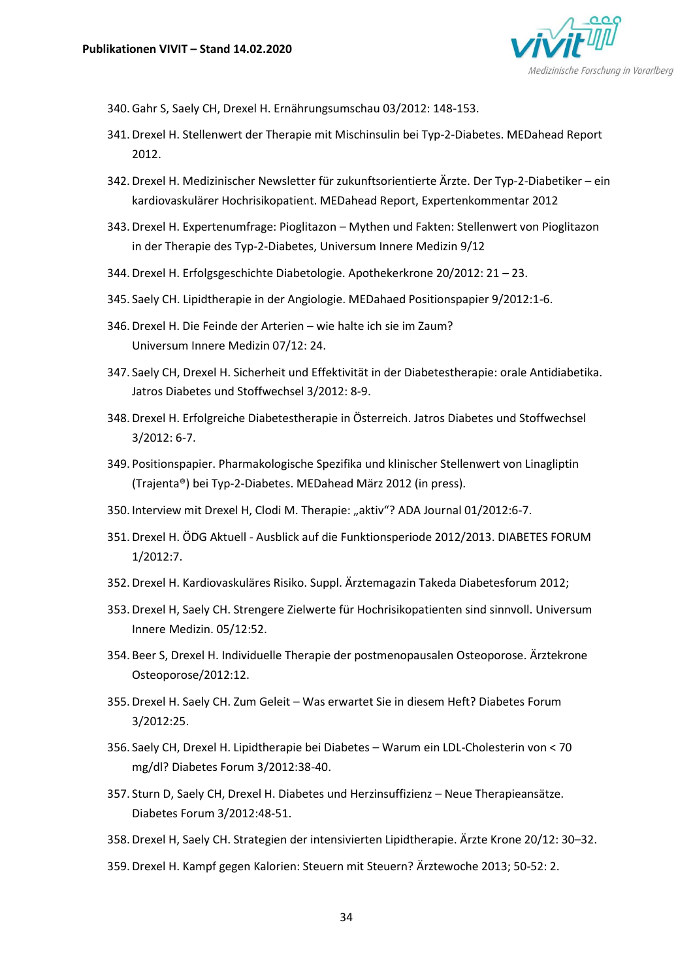

- 340.Gahr S, Saely CH, Drexel H. Ernährungsumschau 03/2012: 148-153.
- 341.Drexel H. Stellenwert der Therapie mit Mischinsulin bei Typ-2-Diabetes. MEDahead Report 2012.
- 342.Drexel H. Medizinischer Newsletter für zukunftsorientierte Ärzte. Der Typ-2-Diabetiker ein kardiovaskulärer Hochrisikopatient. MEDahead Report, Expertenkommentar 2012
- 343.Drexel H. Expertenumfrage: Pioglitazon Mythen und Fakten: Stellenwert von Pioglitazon in der Therapie des Typ-2-Diabetes, Universum Innere Medizin 9/12
- 344.Drexel H. Erfolgsgeschichte Diabetologie. Apothekerkrone 20/2012: 21 23.
- 345. Saely CH. Lipidtherapie in der Angiologie. MEDahaed Positionspapier 9/2012:1-6.
- 346.Drexel H. Die Feinde der Arterien wie halte ich sie im Zaum? Universum Innere Medizin 07/12: 24.
- 347. Saely CH, Drexel H. Sicherheit und Effektivität in der Diabetestherapie: orale Antidiabetika. Jatros Diabetes und Stoffwechsel 3/2012: 8-9.
- 348.Drexel H. Erfolgreiche Diabetestherapie in Österreich. Jatros Diabetes und Stoffwechsel 3/2012: 6-7.
- 349. Positionspapier. Pharmakologische Spezifika und klinischer Stellenwert von Linagliptin (Trajenta®) bei Typ-2-Diabetes. MEDahead März 2012 (in press).
- 350. Interview mit Drexel H, Clodi M. Therapie: "aktiv"? ADA Journal 01/2012:6-7.
- 351.Drexel H. ÖDG Aktuell Ausblick auf die Funktionsperiode 2012/2013. DIABETES FORUM 1/2012:7.
- 352.Drexel H. Kardiovaskuläres Risiko. Suppl. Ärztemagazin Takeda Diabetesforum 2012;
- 353.Drexel H, Saely CH. Strengere Zielwerte für Hochrisikopatienten sind sinnvoll. Universum Innere Medizin. 05/12:52.
- 354. Beer S, Drexel H. Individuelle Therapie der postmenopausalen Osteoporose. Ärztekrone Osteoporose/2012:12.
- 355.Drexel H. Saely CH. Zum Geleit Was erwartet Sie in diesem Heft? Diabetes Forum 3/2012:25.
- 356. Saely CH, Drexel H. Lipidtherapie bei Diabetes Warum ein LDL-Cholesterin von < 70 mg/dl? Diabetes Forum 3/2012:38-40.
- 357. Sturn D, Saely CH, Drexel H. Diabetes und Herzinsuffizienz Neue Therapieansätze. Diabetes Forum 3/2012:48-51.
- 358.Drexel H, Saely CH. Strategien der intensivierten Lipidtherapie. Ärzte Krone 20/12: 30–32.
- 359.Drexel H. Kampf gegen Kalorien: Steuern mit Steuern? Ärztewoche 2013; 50-52: 2.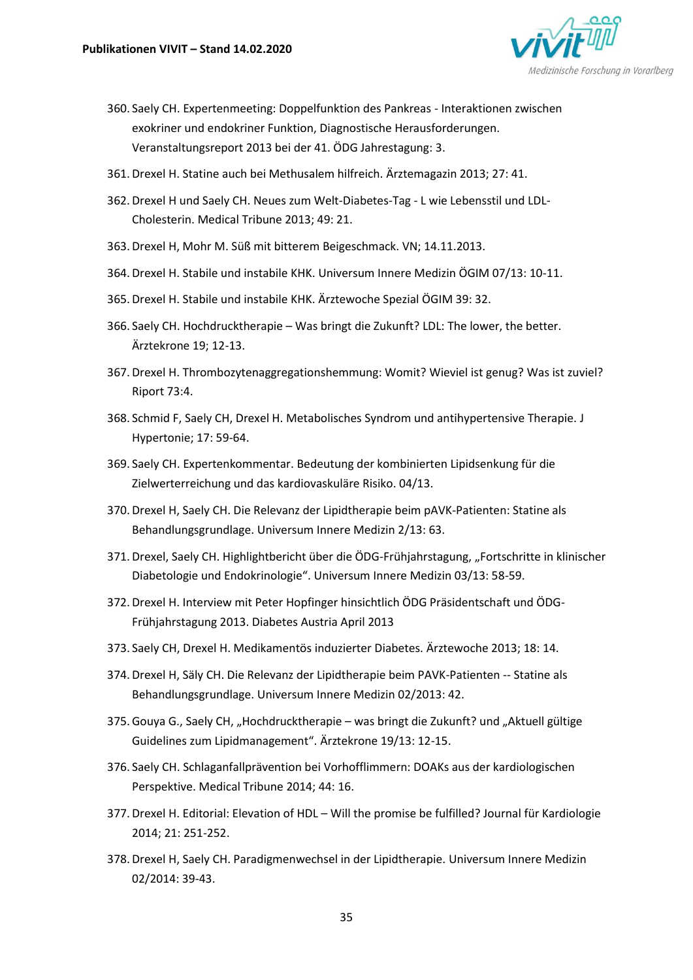

- 360. Saely CH. Expertenmeeting: Doppelfunktion des Pankreas Interaktionen zwischen exokriner und endokriner Funktion, Diagnostische Herausforderungen. Veranstaltungsreport 2013 bei der 41. ÖDG Jahrestagung: 3.
- 361.Drexel H. Statine auch bei Methusalem hilfreich. Ärztemagazin 2013; 27: 41.
- 362.Drexel H und Saely CH. Neues zum Welt-Diabetes-Tag L wie Lebensstil und LDL-Cholesterin. Medical Tribune 2013; 49: 21.
- 363.Drexel H, Mohr M. Süß mit bitterem Beigeschmack. VN; 14.11.2013.
- 364.Drexel H. Stabile und instabile KHK. Universum Innere Medizin ÖGIM 07/13: 10-11.
- 365.Drexel H. Stabile und instabile KHK. Ärztewoche Spezial ÖGIM 39: 32.
- 366. Saely CH. Hochdrucktherapie Was bringt die Zukunft? LDL: The lower, the better. Ärztekrone 19; 12-13.
- 367.Drexel H. Thrombozytenaggregationshemmung: Womit? Wieviel ist genug? Was ist zuviel? Riport 73:4.
- 368. Schmid F, Saely CH, Drexel H. Metabolisches Syndrom und antihypertensive Therapie. J Hypertonie; 17: 59-64.
- 369. Saely CH. Expertenkommentar. Bedeutung der kombinierten Lipidsenkung für die Zielwerterreichung und das kardiovaskuläre Risiko. 04/13.
- 370.Drexel H, Saely CH. Die Relevanz der Lipidtherapie beim pAVK-Patienten: Statine als Behandlungsgrundlage. Universum Innere Medizin 2/13: 63.
- 371.Drexel, Saely CH. Highlightbericht über die ÖDG-Frühjahrstagung, "Fortschritte in klinischer Diabetologie und Endokrinologie". Universum Innere Medizin 03/13: 58-59.
- 372.Drexel H. Interview mit Peter Hopfinger hinsichtlich ÖDG Präsidentschaft und ÖDG-Frühjahrstagung 2013. Diabetes Austria April 2013
- 373. Saely CH, Drexel H. Medikamentös induzierter Diabetes. Ärztewoche 2013; 18: 14.
- 374.Drexel H, Säly CH. Die Relevanz der Lipidtherapie beim PAVK-Patienten -- Statine als Behandlungsgrundlage. Universum Innere Medizin 02/2013: 42.
- 375. Gouya G., Saely CH, "Hochdrucktherapie was bringt die Zukunft? und "Aktuell gültige Guidelines zum Lipidmanagement". Ärztekrone 19/13: 12-15.
- 376. Saely CH. Schlaganfallprävention bei Vorhofflimmern: DOAKs aus der kardiologischen Perspektive. Medical Tribune 2014; 44: 16.
- 377.Drexel H. Editorial: Elevation of HDL Will the promise be fulfilled? Journal für Kardiologie 2014; 21: 251-252.
- 378.Drexel H, Saely CH. Paradigmenwechsel in der Lipidtherapie. Universum Innere Medizin 02/2014: 39-43.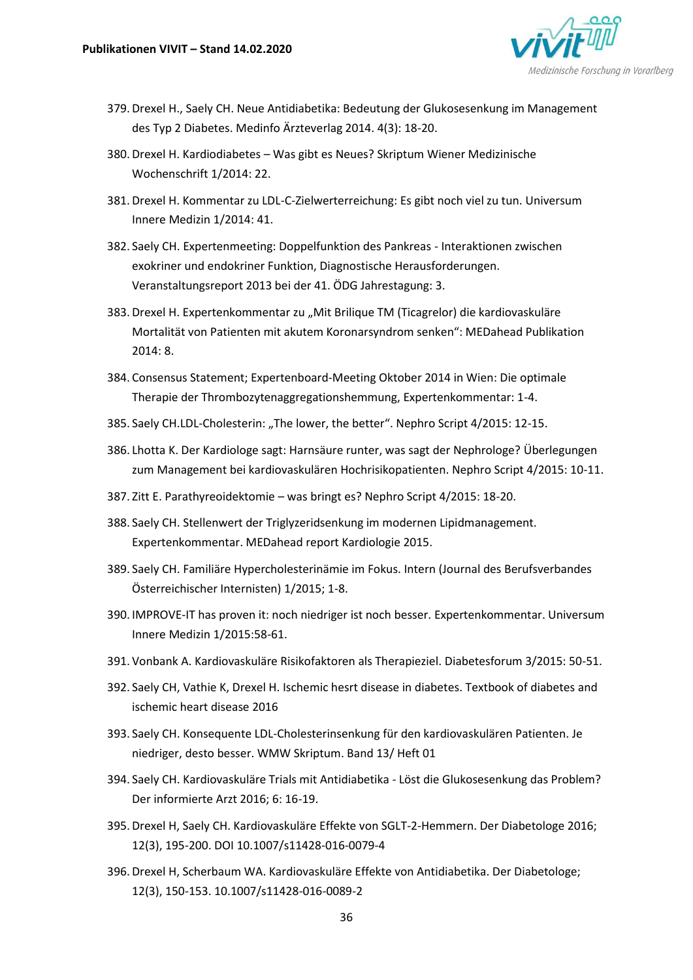

- 379.Drexel H., Saely CH. Neue Antidiabetika: Bedeutung der Glukosesenkung im Management des Typ 2 Diabetes. Medinfo Ärzteverlag 2014. 4(3): 18-20.
- 380.Drexel H. Kardiodiabetes Was gibt es Neues? Skriptum Wiener Medizinische Wochenschrift 1/2014: 22.
- 381.Drexel H. Kommentar zu LDL-C-Zielwerterreichung: Es gibt noch viel zu tun. Universum Innere Medizin 1/2014: 41.
- 382. Saely CH. Expertenmeeting: Doppelfunktion des Pankreas Interaktionen zwischen exokriner und endokriner Funktion, Diagnostische Herausforderungen. Veranstaltungsreport 2013 bei der 41. ÖDG Jahrestagung: 3.
- 383. Drexel H. Expertenkommentar zu "Mit Brilique TM (Ticagrelor) die kardiovaskuläre Mortalität von Patienten mit akutem Koronarsyndrom senken": MEDahead Publikation 2014: 8.
- 384. Consensus Statement; Expertenboard-Meeting Oktober 2014 in Wien: Die optimale Therapie der Thrombozytenaggregationshemmung, Expertenkommentar: 1-4.
- 385. Saely CH.LDL-Cholesterin: "The lower, the better". Nephro Script 4/2015: 12-15.
- 386. Lhotta K. Der Kardiologe sagt: Harnsäure runter, was sagt der Nephrologe? Überlegungen zum Management bei kardiovaskulären Hochrisikopatienten. Nephro Script 4/2015: 10-11.
- 387. Zitt E. Parathyreoidektomie was bringt es? Nephro Script 4/2015: 18-20.
- 388. Saely CH. Stellenwert der Triglyzeridsenkung im modernen Lipidmanagement. Expertenkommentar. MEDahead report Kardiologie 2015.
- 389. Saely CH. Familiäre Hypercholesterinämie im Fokus. Intern (Journal des Berufsverbandes Österreichischer Internisten) 1/2015; 1-8.
- 390. IMPROVE-IT has proven it: noch niedriger ist noch besser. Expertenkommentar. Universum Innere Medizin 1/2015:58-61.
- 391. Vonbank A. Kardiovaskuläre Risikofaktoren als Therapieziel. Diabetesforum 3/2015: 50-51.
- 392. Saely CH, Vathie K, Drexel H. Ischemic hesrt disease in diabetes. Textbook of diabetes and ischemic heart disease 2016
- 393. Saely CH. Konsequente LDL-Cholesterinsenkung für den kardiovaskulären Patienten. Je niedriger, desto besser. WMW Skriptum. Band 13/ Heft 01
- 394. Saely CH. Kardiovaskuläre Trials mit Antidiabetika Löst die Glukosesenkung das Problem? Der informierte Arzt 2016; 6: 16-19.
- 395.Drexel H, Saely CH. Kardiovaskuläre Effekte von SGLT-2-Hemmern. Der Diabetologe 2016; 12(3), 195-200. DOI 10.1007/s11428-016-0079-4
- 396.Drexel H, Scherbaum WA. Kardiovaskuläre Effekte von Antidiabetika. Der Diabetologe; 12(3), 150-153. 10.1007/s11428-016-0089-2